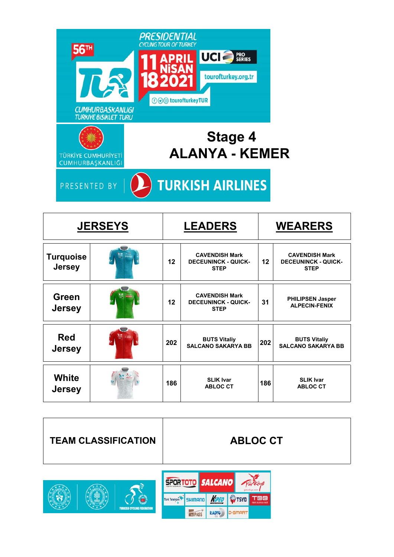

**TURKISH AIRLINES** PRESENTED BY

| <b>JERSEYS</b>                    |  | <b>LEADERS</b> |                                                                    |     | <b>WEARERS</b>                                                     |  |  |
|-----------------------------------|--|----------------|--------------------------------------------------------------------|-----|--------------------------------------------------------------------|--|--|
| <b>Turquoise</b><br><b>Jersey</b> |  | 12             | <b>CAVENDISH Mark</b><br><b>DECEUNINCK - QUICK-</b><br><b>STEP</b> | 12  | <b>CAVENDISH Mark</b><br><b>DECEUNINCK - QUICK-</b><br><b>STEP</b> |  |  |
| Green<br><b>Jersey</b>            |  | 12             | <b>CAVENDISH Mark</b><br><b>DECEUNINCK - QUICK-</b><br><b>STEP</b> | 31  | <b>PHILIPSEN Jasper</b><br><b>ALPECIN-FENIX</b>                    |  |  |
| <b>Red</b><br><b>Jersey</b>       |  | 202            | <b>BUTS Vitaliy</b><br><b>SALCANO SAKARYA BB</b>                   | 202 | <b>BUTS Vitaliy</b><br><b>SALCANO SAKARYA BB</b>                   |  |  |
| White<br><b>Jersey</b>            |  | 186            | <b>SLIK Ivar</b><br><b>ABLOC CT</b>                                | 186 | <b>SLIK Ivar</b><br><b>ABLOC CT</b>                                |  |  |



**ELPASS** 

RADYO

**D**-SMART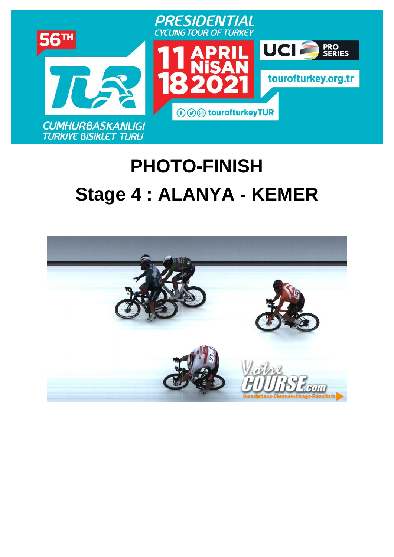

# **PHOTO-FINISH [Stage](https://www.procyclingstats.com/race/tour-of-turkey/2021/stage-1) 4 : ALANYA - KEMER**

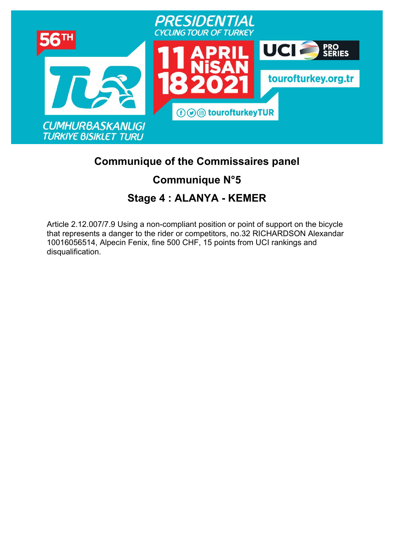

### **Communique of the Commissaires panel**

### **Communique N°5**

## **Stage 4 : ALANYA - KEMER**

Article 2.12.007/7.9 Using a non-compliant position or point of support on the bicycle that represents a danger to the rider or competitors, no.32 RICHARDSON Alexandar 10016056514, Alpecin Fenix, fine 500 CHF, 15 points from UCI rankings and disqualification.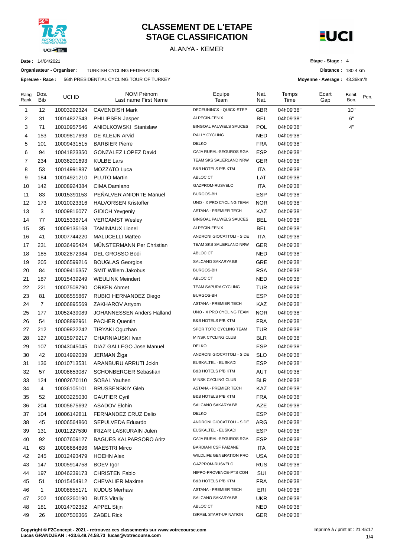

#### **CLASSEMENT DE L'ETAPE STAGE CLASSIFICATION**

ALANYA - KEMER



**Distance :** 180.4 km

**Etape - Stage :** 4

**Moyenne - Average :** 43.36km/h

**Date :** 14/04/2021

**Organisateur - Organiser :** TURKISH CYCLING FEDERATION

**Epreuve - Race :** 56th PRESIDENTIAL CYCLING TOUR OF TURKEY

| Rang<br>Rank | Dos.<br><b>Bib</b> | UCI ID      | NOM Prénom<br>Last name First Name | Equipe<br>Team                | Nat.<br>Nat. | Temps<br>Time | Ecart<br>Gap | Bonif.<br>Bon. | Pen. |
|--------------|--------------------|-------------|------------------------------------|-------------------------------|--------------|---------------|--------------|----------------|------|
| 1            | 12                 | 10003292324 | <b>CAVENDISH Mark</b>              | DECEUNINCK - QUICK-STEP       | <b>GBR</b>   | 04h09'38"     |              | 10"            |      |
| 2            | 31                 | 10014827543 | PHILIPSEN Jasper                   | ALPECIN-FENIX                 | <b>BEL</b>   | 04h09'38"     |              | 6"             |      |
| 3            | 71                 | 10010957546 | <b>ANIOLKOWSKI Stanislaw</b>       | <b>BINGOAL PAUWELS SAUCES</b> | <b>POL</b>   | 04h09'38"     |              | 4"             |      |
| 4            | 153                | 10009817693 | DE KLEIJN Arvid                    | RALLY CYCLING                 | NED          | 04h09'38"     |              |                |      |
| 5            | 101                | 10009431515 | <b>BARBIER Pierre</b>              | <b>DELKO</b>                  | <b>FRA</b>   | 04h09'38"     |              |                |      |
| 6            | 94                 | 10041823350 | GONZALEZ LOPEZ David               | CAJA RURAL-SEGUROS RGA        | <b>ESP</b>   | 04h09'38"     |              |                |      |
| 7            | 234                | 10036201693 | <b>KULBE Lars</b>                  | TEAM SKS SAUERLAND NRW        | GER          | 04h09'38"     |              |                |      |
| 8            | 53                 | 10014991837 | MOZZATO Luca                       | <b>B&amp;B HOTELS P/B KTM</b> | <b>ITA</b>   | 04h09'38"     |              |                |      |
| 9            | 184                | 10014921210 | <b>PLUTO Martin</b>                | ABLOC CT                      | LAT          | 04h09'38"     |              |                |      |
| 10           | 142                | 10008924384 | CIMA Damiano                       | GAZPROM-RUSVELO               | <b>ITA</b>   | 04h09'38"     |              |                |      |
| 11           | 83                 | 10015391153 | PEÑALVER ANIORTE Manuel            | BURGOS-BH                     | <b>ESP</b>   | 04h09'38"     |              |                |      |
| 12           | 173                | 10010023316 | <b>HALVORSEN Kristoffer</b>        | UNO - X PRO CYCLING TEAM      | <b>NOR</b>   | 04h09'38"     |              |                |      |
| 13           | 3                  | 10009816077 | <b>GIDICH Yevgeniy</b>             | ASTANA - PREMIER TECH         | KAZ          | 04h09'38"     |              |                |      |
| 14           | 77                 | 10015338714 | <b>VERCAMST Wesley</b>             | <b>BINGOAL PAUWELS SAUCES</b> | <b>BEL</b>   | 04h09'38"     |              |                |      |
| 15           | 35                 | 10009136168 | <b>TAMINIAUX Lionel</b>            | ALPECIN-FENIX                 | <b>BEL</b>   | 04h09'38"     |              |                |      |
| 16           | 41                 | 10007744220 | <b>MALUCELLI Matteo</b>            | ANDRONI GIOCATTOLI - SIDE     | <b>ITA</b>   | 04h09'38"     |              |                |      |
| 17           | 231                | 10036495424 | <b>MUNSTERMANN Per Christian</b>   | TEAM SKS SAUERLAND NRW        | <b>GER</b>   | 04h09'38"     |              |                |      |
| 18           | 185                | 10022872984 | <b>DEL GROSSO Bodi</b>             | ABLOC CT                      | <b>NED</b>   | 04h09'38"     |              |                |      |
| 19           | 205                | 10006599216 | <b>BOUGLAS Georgios</b>            | SALCANO SAKARYA BB            | GRE          | 04h09'38"     |              |                |      |
| 20           | 84                 | 10009416357 | <b>SMIT Willem Jakobus</b>         | <b>BURGOS-BH</b>              | <b>RSA</b>   | 04h09'38"     |              |                |      |
| 21           | 187                | 10015439249 | <b>WEULINK Meindert</b>            | ABLOC CT                      | NED          | 04h09'38"     |              |                |      |
| 22           | 221                | 10007508790 | <b>ORKEN Ahmet</b>                 | <b>TEAM SAPURA CYCLING</b>    | <b>TUR</b>   | 04h09'38"     |              |                |      |
| 23           | 81                 | 10006555867 | RUBIO HERNANDEZ Diego              | <b>BURGOS-BH</b>              | <b>ESP</b>   | 04h09'38"     |              |                |      |
| 24           | $\overline{7}$     | 10006895569 | ZAKHAROV Artyom                    | ASTANA - PREMIER TECH         | KAZ          | 04h09'38"     |              |                |      |
| 25           | 177                | 10052439089 | JOHANNESSEN Anders Halland         | UNO - X PRO CYCLING TEAM      | <b>NOR</b>   | 04h09'38"     |              |                |      |
| 26           | 54                 | 10008892961 | <b>PACHER Quentin</b>              | <b>B&amp;B HOTELS P/B KTM</b> | <b>FRA</b>   | 04h09'38"     |              |                |      |
| 27           | 212                | 10009822242 | TIRYAKI Oguzhan                    | SPOR TOTO CYCLING TEAM        | <b>TUR</b>   | 04h09'38"     |              |                |      |
| 28           | 127                | 10015979217 | CHARNIAUSKI Ivan                   | MINSK CYCLING CLUB            | <b>BLR</b>   | 04h09'38"     |              |                |      |
| 29           | 107                | 10043045045 | DIAZ GALLEGO Jose Manuel           | <b>DELKO</b>                  | <b>ESP</b>   | 04h09'38"     |              |                |      |
| 30           | 42                 | 10014992039 | JERMAN Žiga                        | ANDRONI GIOCATTOLI - SIDE     | <b>SLO</b>   | 04h09'38"     |              |                |      |
| 31           | 136                | 10010713531 | ARANBURU ARRUTI Jokin              | EUSKALTEL - EUSKADI           | <b>ESP</b>   | 04h09'38"     |              |                |      |
| 32           | 57                 | 10008653087 | <b>SCHONBERGER Sebastian</b>       | <b>B&amp;B HOTELS P/B KTM</b> | AUT          | 04h09'38"     |              |                |      |
| 33           | 124                | 10002670110 | SOBAL Yauhen                       | MINSK CYCLING CLUB            | <b>BLR</b>   | 04h09'38"     |              |                |      |
| 34           | 4                  | 10036105101 | <b>BRUSSENSKIY Gleb</b>            | ASTANA - PREMIER TECH         | KAZ          | 04h09'38"     |              |                |      |
| 35           | 52                 | 10003225030 | <b>GAUTIER Cyril</b>               | B&B HOTELS P/B KTM            | <b>FRA</b>   | 04h09'38"     |              |                |      |
| 36           | 204                | 10005675692 | <b>ASADOV Elchin</b>               | SALCANO SAKARYA BB            | AZE          | 04h09'38"     |              |                |      |
| 37           | 104                | 10006142811 | <b>FERNANDEZ CRUZ Delio</b>        | <b>DELKO</b>                  | <b>ESP</b>   | 04h09'38"     |              |                |      |
| 38           | 45                 | 10006564860 | SEPULVEDA Eduardo                  | ANDRONI GIOCATTOLI - SIDE     | ARG          | 04h09'38"     |              |                |      |
| 39           | 131                | 10011227530 | <b>IRIZAR LASKURAIN Julen</b>      | EUSKALTEL - EUSKADI           | <b>ESP</b>   | 04h09'38"     |              |                |      |
| 40           | 92                 | 10007609127 | <b>BAGÜES KALPARSORO Aritz</b>     | CAJA RURAL-SEGUROS RGA        | <b>ESP</b>   | 04h09'38"     |              |                |      |
| 41           | 63                 | 10006684896 | <b>MAESTRI Mirco</b>               | <b>BARDIANI CSF FAIZANE</b>   | <b>ITA</b>   | 04h09'38"     |              |                |      |
| 42           | 245                | 10012493479 | <b>HOEHN Alex</b>                  | WILDLIFE GENERATION PRO       | <b>USA</b>   | 04h09'38"     |              |                |      |
| 43           | 147                | 10005914758 | <b>BOEV</b> Igor                   | GAZPROM-RUSVELO               | <b>RUS</b>   | 04h09'38"     |              |                |      |
| 44           | 197                | 10046239173 | <b>CHRISTEN Fabio</b>              | NIPPO-PROVENCE-PTS CON        | SUI          | 04h09'38"     |              |                |      |
| 45           | 51                 | 10015454912 | <b>CHEVALIER Maxime</b>            | B&B HOTELS P/B KTM            | <b>FRA</b>   | 04h09'38"     |              |                |      |
| 46           | 1                  | 10008855171 | <b>KUDUS Merhawi</b>               | ASTANA - PREMIER TECH         | ERI          | 04h09'38"     |              |                |      |
| 47           | 202                | 10003260190 | <b>BUTS Vitaliy</b>                | SALCANO SAKARYA BB            | UKR          | 04h09'38"     |              |                |      |
| 48           | 181                | 10014702352 | <b>APPEL Stijn</b>                 | ABLOC CT                      | <b>NED</b>   | 04h09'38"     |              |                |      |
| 49           | 26                 | 10007506366 | <b>ZABEL Rick</b>                  | <b>ISRAEL START-UP NATION</b> | <b>GER</b>   | 04h09'38"     |              |                |      |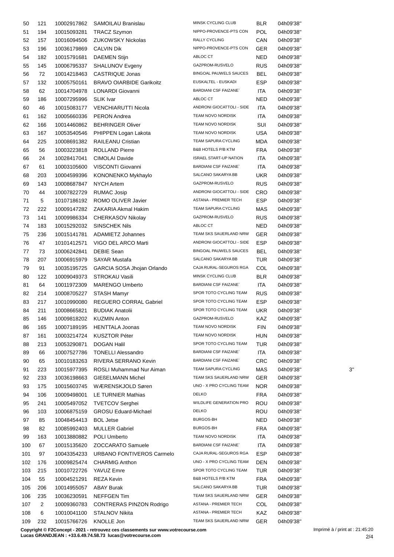| 50  | 121            | 10002917862 | SAMOILAU Branislau              | MINSK CYCLING CLUB            | <b>BLR</b> | 04h09'38" |    |
|-----|----------------|-------------|---------------------------------|-------------------------------|------------|-----------|----|
| 51  | 194            | 10015093281 | <b>TRACZ Szymon</b>             | NIPPO-PROVENCE-PTS CON        | <b>POL</b> | 04h09'38" |    |
| 52  | 157            | 10016094506 | <b>ZUKOWSKY Nickolas</b>        | RALLY CYCLING                 | CAN        | 04h09'38" |    |
| 53  | 196            | 10036179869 | <b>CALVIN Dik</b>               | NIPPO-PROVENCE-PTS CON        | GER        | 04h09'38" |    |
| 54  | 182            | 10015791681 | <b>DAEMEN Stijn</b>             | ABLOC CT                      | NED        | 04h09'38" |    |
| 55  | 145            | 10006795337 | SHALUNOV Evgeny                 | GAZPROM-RUSVELO               | <b>RUS</b> | 04h09'38" |    |
| 56  | 72             | 10014218463 | CASTRIQUE Jonas                 | <b>BINGOAL PAUWELS SAUCES</b> | BEL        | 04h09'38" |    |
|     |                |             |                                 | EUSKALTEL - EUSKADI           | <b>ESP</b> |           |    |
| 57  | 132            | 10005750161 | <b>BRAVO OIARBIDE Garikoitz</b> | <b>BARDIANI CSF FAIZANE</b>   |            | 04h09'38" |    |
| 58  | 62             | 10014704978 | LONARDI Giovanni                | ABLOC CT                      | ITA        | 04h09'38" |    |
| 59  | 186            | 10007295996 | <b>SLIK Ivar</b>                |                               | NED        | 04h09'38" |    |
| 60  | 46             | 10015083177 | VENCHIARUTTI Nicola             | ANDRONI GIOCATTOLI - SIDE     | ITA        | 04h09'38" |    |
| 61  | 162            | 10005660336 | <b>PERON Andrea</b>             | TEAM NOVO NORDISK             | ITA        | 04h09'38" |    |
| 62  | 166            | 10014460862 | <b>BEHRINGER Oliver</b>         | TEAM NOVO NORDISK             | SUI        | 04h09'38" |    |
| 63  | 167            | 10053540546 | PHIPPEN Logan Lakota            | TEAM NOVO NORDISK             | <b>USA</b> | 04h09'38" |    |
| 64  | 225            | 10008691382 | RAILEANU Cristian               | TEAM SAPURA CYCLING           | MDA        | 04h09'38" |    |
| 65  | 56             | 10003223818 | <b>ROLLAND Pierre</b>           | B&B HOTELS P/B KTM            | <b>FRA</b> | 04h09'38" |    |
| 66  | 24             | 10028417041 | <b>CIMOLAI Davide</b>           | <b>ISRAEL START-UP NATION</b> | <b>ITA</b> | 04h09'38" |    |
| 67  | 61             | 10003105600 | VISCONTI Giovanni               | <b>BARDIANI CSF FAIZANE`</b>  | <b>ITA</b> | 04h09'38" |    |
| 68  | 203            | 10004599396 | KONONENKO Mykhaylo              | SALCANO SAKARYA BB            | UKR        | 04h09'38" |    |
| 69  | 143            | 10008687847 | <b>NYCH Artem</b>               | GAZPROM-RUSVELO               | <b>RUS</b> | 04h09'38" |    |
| 70  | 44             | 10007822729 | <b>RUMAC Josip</b>              | ANDRONI GIOCATTOLI - SIDE     | <b>CRO</b> | 04h09'38" |    |
| 71  | 5              | 10107186192 | ROMO OLIVER Javier              | ASTANA - PREMIER TECH         | <b>ESP</b> | 04h09'38" |    |
| 72  | 222            | 10009147282 | ZAKARIA Akmal Hakim             | TEAM SAPURA CYCLING           | MAS        | 04h09'38" |    |
| 73  | 141            | 10009986334 | CHERKASOV Nikolay               | GAZPROM-RUSVELO               | <b>RUS</b> | 04h09'38" |    |
|     |                |             |                                 | ABLOC CT                      |            |           |    |
| 74  | 183            | 10015292032 | <b>SINSCHEK Nils</b>            |                               | NED        | 04h09'38" |    |
| 75  | 236            | 10015141781 | ADAMIETZ Johannes               | TEAM SKS SAUERLAND NRW        | GER        | 04h09'38" |    |
| 76  | 47             | 10101412571 | VIGO DEL ARCO Marti             | ANDRONI GIOCATTOLI - SIDE     | <b>ESP</b> | 04h09'38" |    |
| 77  | 73             | 10006242841 | <b>DEBIE Sean</b>               | <b>BINGOAL PAUWELS SAUCES</b> | BEL        | 04h09'38" |    |
| 78  | 207            | 10006915979 | <b>SAYAR Mustafa</b>            | SALCANO SAKARYA BB            | <b>TUR</b> | 04h09'38" |    |
| 79  | 91             | 10035195725 | GARCIA SOSA Jhojan Orlando      | CAJA RURAL-SEGUROS RGA        | COL        | 04h09'38" |    |
| 80  | 122            | 10009049373 | <b>STROKAU Vasili</b>           | MINSK CYCLING CLUB            | <b>BLR</b> | 04h09'38" |    |
| 81  | 64             | 10011972309 | MARENGO Umberto                 | <b>BARDIANI CSF FAIZANE`</b>  | ITA        | 04h09'38" |    |
| 82  | 214            | 10008705227 | <b>STASH Mamyr</b>              | SPOR TOTO CYCLING TEAM        | <b>RUS</b> | 04h09'38" |    |
| 83  | 217            | 10010990080 | REGUERO CORRAL Gabriel          | SPOR TOTO CYCLING TEAM        | <b>ESP</b> | 04h09'38" |    |
| 84  | 211            | 10008665821 | <b>BUDIAK Anatolii</b>          | SPOR TOTO CYCLING TEAM        | UKR.       | 04h09'38" |    |
| 85  | 146            |             | 10009818202 KUZMIN Anton        | GAZPROM-RUSVELO               | KAZ        | 04h09'38" |    |
| 86  | 165            | 10007189195 | <b>HENTTALA Joonas</b>          | TEAM NOVO NORDISK             | <b>FIN</b> | 04h09'38" |    |
| 87  | 161            | 10003214724 | <b>KUSZTOR Péter</b>            | TEAM NOVO NORDISK             | <b>HUN</b> | 04h09'38" |    |
| 88  | 213            | 10053290871 | <b>DOGAN Halil</b>              | SPOR TOTO CYCLING TEAM        | <b>TUR</b> | 04h09'38" |    |
| 89  | 66             | 10007527786 | <b>TONELLI Alessandro</b>       | <b>BARDIANI CSF FAIZANE</b>   | ITA        | 04h09'38" |    |
| 90  | 65             | 10010183263 | RIVERA SERRANO Kevin            | <b>BARDIANI CSF FAIZANE`</b>  | <b>CRC</b> | 04h09'38" |    |
| 91  | 223            | 10015977395 | ROSLI Muhammad Nur Aiman        | TEAM SAPURA CYCLING           | MAS        | 04h09'38" | 3' |
| 92  | 233            | 10036198663 | <b>GIEßELMANN Michel</b>        | TEAM SKS SAUERLAND NRW        | <b>GER</b> | 04h09'38" |    |
| 93  | 175            | 10015603745 | WÆRENSKJOLD Søren               | UNO - X PRO CYCLING TEAM      | <b>NOR</b> | 04h09'38" |    |
|     |                |             |                                 | <b>DELKO</b>                  |            |           |    |
| 94  | 106            | 10009498001 | LE TURNIER Mathias              |                               | <b>FRA</b> | 04h09'38" |    |
| 95  | 241            | 10005497052 | <b>TVETCOV Serghei</b>          | WILDLIFE GENERATION PRO       | ROU        | 04h09'38" |    |
| 96  | 103            | 10006875159 | <b>GROSU Eduard-Michael</b>     | <b>DELKO</b>                  | ROU        | 04h09'38" |    |
| 97  | 85             | 10048454413 | <b>BOL Jetse</b>                | BURGOS-BH                     | NED        | 04h09'38" |    |
| 98  | 82             | 10085992403 | <b>MULLER Gabriel</b>           | BURGOS-BH                     | <b>FRA</b> | 04h09'38" |    |
| 99  | 163            | 10013880882 | POLI Umberto                    | TEAM NOVO NORDISK             | ITA        | 04h09'38" |    |
| 100 | 67             | 10015135620 | ZOCCARATO Samuele               | <b>BARDIANI CSF FAIZANE</b>   | <b>ITA</b> | 04h09'38" |    |
| 101 | 97             | 10043354233 | URBANO FONTIVEROS Carmelo       | CAJA RURAL-SEGUROS RGA        | ESP        | 04h09'38" |    |
| 102 | 176            | 10009825474 | <b>CHARMIG Anthon</b>           | UNO - X PRO CYCLING TEAM      | DEN        | 04h09'38" |    |
| 103 | 215            | 10010722726 | YAVUZ Emre                      | SPOR TOTO CYCLING TEAM        | TUR        | 04h09'38" |    |
| 104 | 55             | 10004521291 | <b>REZA Kevin</b>               | B&B HOTELS P/B KTM            | <b>FRA</b> | 04h09'38" |    |
| 105 | 206            | 10014955057 | <b>ABAY Burak</b>               | SALCANO SAKARYA BB            | <b>TUR</b> | 04h09'38" |    |
| 106 | 235            | 10036230591 | NEFFGEN Tim                     | TEAM SKS SAUERLAND NRW        | <b>GER</b> | 04h09'38" |    |
| 107 | $\overline{2}$ | 10009360783 | <b>CONTRERAS PINZON Rodrigo</b> | ASTANA - PREMIER TECH         | COL        | 04h09'38" |    |
| 108 | 6              | 10010041100 | STALNOV Nikita                  | ASTANA - PREMIER TECH         | KAZ        | 04h09'38" |    |
| 109 | 232            | 10015766726 | KNOLLE Jon                      | TEAM SKS SAUERLAND NRW        | GER        | 04h09'38" |    |
|     |                |             |                                 |                               |            |           |    |

**Copyright © F2Concept - 2021 - retrouvez ces classements sur www.votrecourse.com**

**Lucas GRANDJEAN : +33.6.49.74.58.73 lucas@votrecourse.com**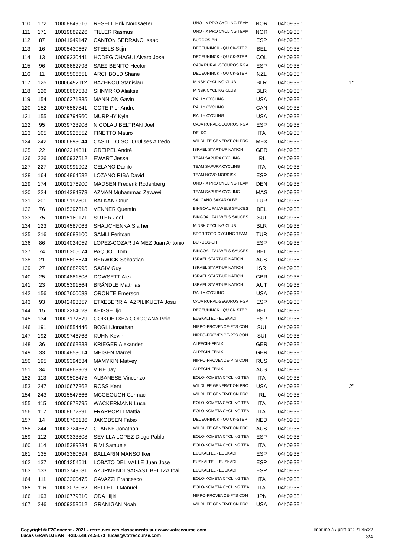| 110 | 172 | 10008849616             | <b>RESELL Erik Nordsaeter</b>        | UNO - X PRO CYCLING TEAM      | <b>NOR</b> | 04h09'38" |    |
|-----|-----|-------------------------|--------------------------------------|-------------------------------|------------|-----------|----|
| 111 | 171 | 10019889226             | <b>TILLER Rasmus</b>                 | UNO - X PRO CYCLING TEAM      | <b>NOR</b> | 04h09'38" |    |
| 112 | 87  | 10041949147             | <b>CANTON SERRANO Isaac</b>          | BURGOS-BH                     | <b>ESP</b> | 04h09'38" |    |
| 113 | 16  | 10005430667             | STEELS Stijn                         | DECEUNINCK - QUICK-STEP       | <b>BEL</b> | 04h09'38" |    |
| 114 | 13  | 10009230441             | HODEG CHAGUI Alvaro Jose             | DECEUNINCK - QUICK-STEP       | COL        | 04h09'38" |    |
| 115 | 96  | 10008682793             | SAEZ BENITO Hector                   | CAJA RURAL-SEGUROS RGA        | <b>ESP</b> | 04h09'38" |    |
| 116 | 11  | 10005506651             | <b>ARCHBOLD Shane</b>                | DECEUNINCK - QUICK-STEP       | NZL        | 04h09'38" |    |
| 117 | 125 | 10006492112             | <b>BAZHKOU Stanislau</b>             | MINSK CYCLING CLUB            | <b>BLR</b> | 04h09'38" | 1' |
| 118 | 126 | 10008667538             | <b>SHNYRKO Aliaksei</b>              | MINSK CYCLING CLUB            | <b>BLR</b> | 04h09'38" |    |
| 119 | 154 | 10006271335             | <b>MANNION Gavin</b>                 | RALLY CYCLING                 | <b>USA</b> | 04h09'38" |    |
| 120 | 152 | 10076567841             | <b>COTE Pier Andre</b>               | RALLY CYCLING                 | CAN        | 04h09'38" |    |
| 121 | 155 | 10009794960             | <b>MURPHY Kyle</b>                   | RALLY CYCLING                 | <b>USA</b> | 04h09'38" |    |
| 122 | 95  | 10039723908             | NICOLAU BELTRAN Joel                 | CAJA RURAL-SEGUROS RGA        | <b>ESP</b> | 04h09'38" |    |
| 123 |     |                         |                                      | <b>DELKO</b>                  | <b>ITA</b> |           |    |
|     | 105 | 10002926552             | <b>FINETTO Mauro</b>                 | WILDLIFE GENERATION PRO       |            | 04h09'38" |    |
| 124 | 242 | 10006893044             | <b>CASTILLO SOTO Ulises Alfredo</b>  |                               | <b>MEX</b> | 04h09'38" |    |
| 125 | 22  | 10002214311             | <b>GREIPEL André</b>                 | <b>ISRAEL START-UP NATION</b> | <b>GER</b> | 04h09'38" |    |
| 126 | 226 | 10050937512             | <b>EWART Jesse</b>                   | TEAM SAPURA CYCLING           | IRL        | 04h09'38" |    |
| 127 | 227 | 10010991902             | CELANO Danilo                        | TEAM SAPURA CYCLING           | ITA        | 04h09'38" |    |
| 128 | 164 | 10004864532             | LOZANO RIBA David                    | TEAM NOVO NORDISK             | <b>ESP</b> | 04h09'38" |    |
| 129 | 174 | 10010176900             | <b>MADSEN Frederik Rodenberg</b>     | UNO - X PRO CYCLING TEAM      | DEN        | 04h09'38" |    |
| 130 | 224 | 10014384373             | AZMAN Muhammad Zawawi                | TEAM SAPURA CYCLING           | MAS        | 04h09'38" |    |
| 131 | 201 | 10009197301             | <b>BALKAN Onur</b>                   | SALCANO SAKARYA BB            | <b>TUR</b> | 04h09'38" |    |
| 132 | 76  | 10015397318             | <b>VENNER Quentin</b>                | <b>BINGOAL PAUWELS SAUCES</b> | <b>BEL</b> | 04h09'38" |    |
| 133 | 75  | 10015160171             | <b>SUTER Joel</b>                    | <b>BINGOAL PAUWELS SAUCES</b> | SUI        | 04h09'38" |    |
| 134 | 123 | 10014587063             | SHAUCHENKA Siarhei                   | MINSK CYCLING CLUB            | <b>BLR</b> | 04h09'38" |    |
| 135 | 216 | 10008683100             | <b>SAMLI Feritcan</b>                | SPOR TOTO CYCLING TEAM        | <b>TUR</b> | 04h09'38" |    |
| 136 | 86  | 10014024059             | LOPEZ-COZAR JAIMEZ Juan Antonio      | BURGOS-BH                     | <b>ESP</b> | 04h09'38" |    |
| 137 | 74  | 10016305074             | PAQUOT Tom                           | BINGOAL PAUWELS SAUCES        | BEL        | 04h09'38" |    |
| 138 | 21  | 10015606674             | <b>BERWICK Sebastian</b>             | <b>ISRAEL START-UP NATION</b> | AUS        | 04h09'38" |    |
| 139 | 27  | 10008682995             | <b>SAGIV Guy</b>                     | <b>ISRAEL START-UP NATION</b> | <b>ISR</b> | 04h09'38" |    |
| 140 | 25  | 10004881508             | <b>DOWSETT Alex</b>                  | <b>ISRAEL START-UP NATION</b> | <b>GBR</b> | 04h09'38" |    |
| 141 | 23  | 10005391564             | <b>BRÄNDLE Matthias</b>              | <b>ISRAEL START-UP NATION</b> | AUT        | 04h09'38" |    |
| 142 | 156 | 10007600033             | <b>ORONTE Emerson</b>                | <b>RALLY CYCLING</b>          | <b>USA</b> | 04h09'38" |    |
| 143 | 93  | 10042493357             | ETXEBERRIA AZPILIKUETA Josu          | CAJA RURAL-SEGUROS RGA        | <b>ESP</b> | 04h09'38" |    |
| 144 | 15  | 10002264023 KEISSE Iljo |                                      | DECEUNINCK - QUICK-STEP       | BEL        | 04h09'38" |    |
| 145 | 134 |                         | 10007177879 GOIKOETXEA GOIOGANA Peio | EUSKALTEL - EUSKADI           | ESP        | 04h09'38" |    |
| 146 | 191 | 10016554446             | <b>BOGLI Jonathan</b>                | NIPPO-PROVENCE-PTS CON        | SUI        | 04h09'38" |    |
|     |     |                         |                                      | NIPPO-PROVENCE-PTS CON        | SUI        | 04h09'38" |    |
| 147 | 192 | 10009746763             | <b>KUHN Kevin</b>                    | ALPECIN-FENIX                 |            |           |    |
| 148 | 36  | 10006668833             | <b>KRIEGER Alexander</b>             |                               | <b>GER</b> | 04h09'38" |    |
| 149 | 33  | 10004853014             | <b>MEISEN Marcel</b>                 | ALPECIN-FENIX                 | GER        | 04h09'38" |    |
| 150 | 195 | 10009394634             | <b>MAMYKIN Matvey</b>                | NIPPO-PROVENCE-PTS CON        | <b>RUS</b> | 04h09'38" |    |
| 151 | 34  | 10014868969             | VINE Jay                             | ALPECIN-FENIX                 | <b>AUS</b> | 04h09'38" |    |
| 152 | 113 | 10009505475             | <b>ALBANESE Vincenzo</b>             | EOLO-KOMETA CYCLING TEA       | ITA        | 04h09'38" |    |
| 153 | 247 | 10010677862             | ROSS Kent                            | WILDLIFE GENERATION PRO       | <b>USA</b> | 04h09'38" | 2' |
| 154 | 243 | 10015547666             | MCGEOUGH Cormac                      | WILDLIFE GENERATION PRO       | <b>IRL</b> | 04h09'38" |    |
| 155 | 115 | 10006878795             | <b>WACKERMANN Luca</b>               | EOLO-KOMETA CYCLING TEA       | <b>ITA</b> | 04h09'38" |    |
| 156 | 117 | 10008672891             | <b>FRAPPORTI Mattia</b>              | EOLO-KOMETA CYCLING TEA       | ITA        | 04h09'38" |    |
| 157 | 14  | 10008706136             | <b>JAKOBSEN Fabio</b>                | DECEUNINCK - QUICK-STEP       | NED        | 04h09'38" |    |
| 158 | 244 | 10002724367             | <b>CLARKE Jonathan</b>               | WILDLIFE GENERATION PRO       | <b>AUS</b> | 04h09'38" |    |
| 159 | 112 | 10009333808             | SEVILLA LOPEZ Diego Pablo            | EOLO-KOMETA CYCLING TEA       | <b>ESP</b> | 04h09'38" |    |
| 160 | 114 | 10015389234             | <b>RIVI Samuele</b>                  | EOLO-KOMETA CYCLING TEA       | ITA        | 04h09'38" |    |
| 161 | 135 | 10042380694             | <b>BALLARIN MANSO Iker</b>           | EUSKALTEL - EUSKADI           | <b>ESP</b> | 04h09'38" |    |
| 162 | 137 | 10051354511             | LOBATO DEL VALLE Juan Jose           | EUSKALTEL - EUSKADI           | <b>ESP</b> | 04h09'38" |    |
| 163 | 133 | 10013749631             | AZURMENDI SAGASTIBELTZA Ibai         | EUSKALTEL - EUSKADI           | <b>ESP</b> | 04h09'38" |    |
| 164 | 111 | 10003200475             | GAVAZZI Francesco                    | EOLO-KOMETA CYCLING TEA       | <b>ITA</b> | 04h09'38" |    |
| 165 | 116 | 10003073062             | <b>BELLETTI Manuel</b>               | EOLO-KOMETA CYCLING TEA       | <b>ITA</b> | 04h09'38" |    |
| 166 | 193 | 10010779310             | ODA Hijiri                           | NIPPO-PROVENCE-PTS CON        | <b>JPN</b> | 04h09'38" |    |
| 167 | 246 | 10009353612             | <b>GRANIGAN Noah</b>                 | WILDLIFE GENERATION PRO       | <b>USA</b> | 04h09'38" |    |
|     |     |                         |                                      |                               |            |           |    |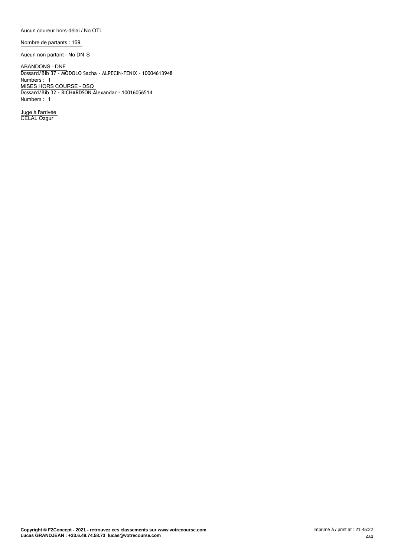**Aucun coureur hors-délai / No OTL**

**Nombre de partants : 169**

**Aucun non partant - No DN** S

**ABANDONS - DNF** Dossard/Bib 37 - MODOLO Sacha - ALPECIN-FENIX - 10004613948 Numbers : 1 **MISES HORS COURSE - DSQ** Dossard/Bib 32 - RICHARDSON Alexandar - 10016056514 Numbers : 1

**Juge à l'arrivée** CELAL Ozgur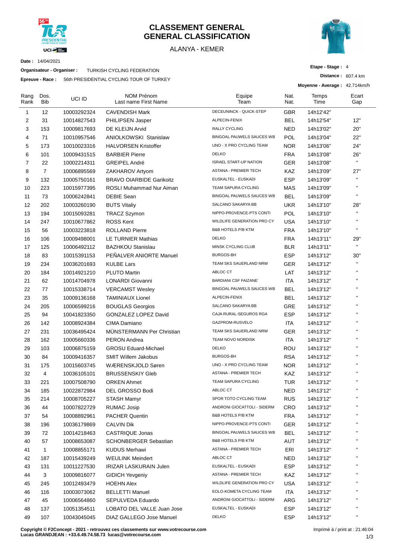

#### **CLASSEMENT GENERAL GENERAL CLASSIFICATION**

#### ALANYA - KEMER



**Date :** 14/04/2021

**Organisateur - Organiser :** TURKISH CYCLING FEDERATION

**Epreuve - Race :** 56th PRESIDENTIAL CYCLING TOUR OF TURKEY

| Etape - Stage: 4 |  |  |
|------------------|--|--|
|------------------|--|--|

**Distance :** 607.4 km

**Moyenne - Average :** 42.714km/h

| Rang<br>Rank   | Dos.<br>Bib    | UCI ID      | <b>NOM Prénom</b><br>Last name First Name | Equipe<br>Team                | Nat.<br>Nat. | Temps<br>Time | Ecart<br>Gap |
|----------------|----------------|-------------|-------------------------------------------|-------------------------------|--------------|---------------|--------------|
| $\mathbf{1}$   | 12             | 10003292324 | <b>CAVENDISH Mark</b>                     | DECEUNINCK - QUICK-STEP       | <b>GBR</b>   | 14h12'42"     |              |
| 2              | 31             | 10014827543 | PHILIPSEN Jasper                          | ALPECIN-FENIX                 | <b>BEL</b>   | 14h12'54"     | 12"          |
| 3              | 153            | 10009817693 | DE KLEIJN Arvid                           | RALLY CYCLING                 | <b>NED</b>   | 14h13'02"     | 20"          |
| 4              | 71             | 10010957546 | ANIOLKOWSKI Stanislaw                     | BINGOAL PAUWELS SAUCES WB     | POL          | 14h13'04"     | 22"          |
| 5              | 173            | 10010023316 | <b>HALVORSEN Kristoffer</b>               | UNO - X PRO CYCLING TEAM      | <b>NOR</b>   | 14h13'06"     | 24"          |
| 6              | 101            | 10009431515 | <b>BARBIER Pierre</b>                     | <b>DELKO</b>                  | <b>FRA</b>   | 14h13'08"     | 26"          |
| $\overline{7}$ | 22             | 10002214311 | <b>GREIPEL André</b>                      | <b>ISRAEL START-UP NATION</b> | <b>GER</b>   | 14h13'08"     | $\mathbf{H}$ |
| 8              | $\overline{7}$ | 10006895569 | ZAKHAROV Artyom                           | ASTANA - PREMIER TECH         | KAZ          | 14h13'09"     | 27"          |
| 9              | 132            | 10005750161 | <b>BRAVO OIARBIDE Garikoitz</b>           | EUSKALTEL - EUSKADI           | <b>ESP</b>   | 14h13'09"     | $\mathbf{H}$ |
| 10             | 223            | 10015977395 | ROSLI Muhammad Nur Aiman                  | TEAM SAPURA CYCLING           | <b>MAS</b>   | 14h13'09"     | $\mathbf{H}$ |
| 11             | 73             | 10006242841 | <b>DEBIE Sean</b>                         | BINGOAL PAUWELS SAUCES WB     | <b>BEL</b>   | 14h13'09"     | $\mathbf{H}$ |
| 12             | 202            | 10003260190 | <b>BUTS Vitaliy</b>                       | SALCANO SAKARYA BB            | <b>UKR</b>   | 14h13'10"     | 28"          |
| 13             | 194            | 10015093281 | <b>TRACZ Szymon</b>                       | NIPPO-PROVENCE-PTS CONTI      | POL          | 14h13'10"     | $\mathbf{H}$ |
| 14             | 247            | 10010677862 | <b>ROSS Kent</b>                          | WILDLIFE GENERATION PRO CY    | <b>USA</b>   | 14h13'10"     | $\mathbf{H}$ |
| 15             | 56             | 10003223818 | <b>ROLLAND Pierre</b>                     | <b>B&amp;B HOTELS P/B KTM</b> | FRA          | 14h13'10"     | $\mathbf{H}$ |
| 16             | 106            | 10009498001 | LE TURNIER Mathias                        | <b>DELKO</b>                  | FRA          | 14h13'11"     | 29"          |
| 17             | 125            | 10006492112 | <b>BAZHKOU Stanislau</b>                  | MINSK CYCLING CLUB            | <b>BLR</b>   | 14h13'11"     | $\mathbf{u}$ |
| 18             | 83             | 10015391153 | PEÑALVER ANIORTE Manuel                   | <b>BURGOS-BH</b>              | <b>ESP</b>   | 14h13'12"     | 30"          |
| 19             | 234            | 10036201693 | <b>KULBE Lars</b>                         | TEAM SKS SAUERLAND NRW        | <b>GER</b>   | 14h13'12"     | $\mathbf{H}$ |
| 20             | 184            | 10014921210 | <b>PLUTO Martin</b>                       | ABLOC CT                      | LAT          | 14h13'12"     | $\mathbf{H}$ |
| 21             | 62             | 10014704978 | <b>LONARDI Giovanni</b>                   | <b>BARDIANI CSF FAIZANE</b>   | <b>ITA</b>   | 14h13'12"     | $\mathbf{H}$ |
| 22             | 77             | 10015338714 | <b>VERCAMST Wesley</b>                    | BINGOAL PAUWELS SAUCES WB     | <b>BEL</b>   | 14h13'12"     | $\mathbf{H}$ |
| 23             | 35             | 10009136168 | <b>TAMINIAUX Lionel</b>                   | ALPECIN-FENIX                 | BEL          | 14h13'12"     | $\mathbf{H}$ |
| 24             | 205            | 10006599216 | <b>BOUGLAS Georgios</b>                   | SALCANO SAKARYA BB            | GRE          | 14h13'12"     | $\mathbf{H}$ |
| 25             | 94             | 10041823350 | GONZALEZ LOPEZ David                      | CAJA RURAL-SEGUROS RGA        | ESP          | 14h13'12"     | $\mathbf{H}$ |
| 26             | 142            | 10008924384 | CIMA Damiano                              | GAZPROM-RUSVELO               | ITA          | 14h13'12"     | $\mathbf{H}$ |
| 27             | 231            | 10036495424 | <b>MUNSTERMANN Per Christian</b>          | TEAM SKS SAUERLAND NRW        | <b>GER</b>   | 14h13'12"     | $\mathbf{H}$ |
| 28             | 162            | 10005660336 | <b>PERON Andrea</b>                       | TEAM NOVO NORDISK             | ITA          | 14h13'12"     | $\mathbf{H}$ |
| 29             | 103            | 10006875159 | <b>GROSU Eduard-Michael</b>               | <b>DELKO</b>                  | ROU          | 14h13'12"     | $\mathbf{H}$ |
| 30             | 84             | 10009416357 | <b>SMIT Willem Jakobus</b>                | <b>BURGOS-BH</b>              | <b>RSA</b>   | 14h13'12"     | $\mathbf{H}$ |
| 31             | 175            | 10015603745 | WÆRENSKJOLD Søren                         | UNO - X PRO CYCLING TEAM      | <b>NOR</b>   | 14h13'12"     | $\mathbf{H}$ |
| 32             | $\overline{4}$ | 10036105101 | <b>BRUSSENSKIY Gleb</b>                   | ASTANA - PREMIER TECH         | KAZ          | 14h13'12"     | $\mathbf{H}$ |
| 33             | 221            | 10007508790 | <b>ORKEN Ahmet</b>                        | <b>TEAM SAPURA CYCLING</b>    | TUR          | 14h13'12"     | $\mathbf{H}$ |
| 34             | 185            | 10022872984 | DEL GROSSO Bodi                           | ABLOC CT                      | <b>NED</b>   | 14h13'12"     |              |
| 35             | 214            | 10008705227 | <b>STASH Mamyr</b>                        | SPOR TOTO CYCLING TEAM        | <b>RUS</b>   | 14h13'12"     | $\mathbf{H}$ |
| 36             | 44             | 10007822729 | <b>RUMAC Josip</b>                        | ANDRONI GIOCATTOLI - SIDERM   | <b>CRO</b>   | 14h13'12"     | $\mathbf{H}$ |
| 37             | 54             | 10008892961 | <b>PACHER Quentin</b>                     | <b>B&amp;B HOTELS P/B KTM</b> | <b>FRA</b>   | 14h13'12"     | $\mathbf{H}$ |
| 38             | 196            | 10036179869 | <b>CALVIN Dik</b>                         | NIPPO-PROVENCE-PTS CONTI      | <b>GER</b>   | 14h13'12"     | $\mathbf{H}$ |
| 39             | 72             | 10014218463 | CASTRIQUE Jonas                           | BINGOAL PAUWELS SAUCES WB     | <b>BEL</b>   | 14h13'12"     | $\mathbf{H}$ |
| 40             | 57             | 10008653087 | <b>SCHONBERGER Sebastian</b>              | B&B HOTELS P/B KTM            | AUT          | 14h13'12"     | $\mathbf{H}$ |
| 41             | $\mathbf{1}$   | 10008855171 | <b>KUDUS Merhawi</b>                      | ASTANA - PREMIER TECH         | ERI          | 14h13'12"     | $\mathbf{H}$ |
| 42             | 187            | 10015439249 | <b>WEULINK Meindert</b>                   | ABLOC CT                      | <b>NED</b>   | 14h13'12"     | $\mathbf{H}$ |
| 43             | 131            | 10011227530 | IRIZAR LASKURAIN Julen                    | EUSKALTEL - EUSKADI           | ESP          | 14h13'12"     | $\mathbf{H}$ |
| 44             | 3              | 10009816077 | <b>GIDICH Yevgeniy</b>                    | ASTANA - PREMIER TECH         | KAZ          | 14h13'12"     | $\mathbf{H}$ |
| 45             | 245            | 10012493479 | <b>HOEHN Alex</b>                         | WILDLIFE GENERATION PRO CY    | <b>USA</b>   | 14h13'12"     | $\mathbf{H}$ |
| 46             | 116            | 10003073062 | <b>BELLETTI Manuel</b>                    | EOLO-KOMETA CYCLING TEAM      | ITA          | 14h13'12"     | $\mathbf{H}$ |
| 47             | 45             | 10006564860 | SEPULVEDA Eduardo                         | ANDRONI GIOCATTOLI - SIDERM   | ARG          | 14h13'12"     | $\mathbf{H}$ |
| 48             | 137            | 10051354511 | LOBATO DEL VALLE Juan Jose                | EUSKALTEL - EUSKADI           | <b>ESP</b>   | 14h13'12"     | $\mathbf{H}$ |
| 49             | 107            | 10043045045 | DIAZ GALLEGO Jose Manuel                  | <b>DELKO</b>                  | ESP          | 14h13'12"     | $\mathbf{u}$ |
|                |                |             |                                           |                               |              |               |              |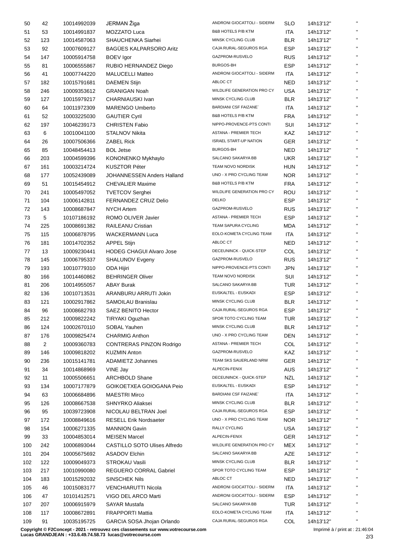| 50  | 42  | 10014992039 | JERMAN Žiga                       | ANDRONI GIOCATTOLI - SIDERM       | SLO        | 14h13'12" | $\mathbf{u}$ |
|-----|-----|-------------|-----------------------------------|-----------------------------------|------------|-----------|--------------|
| 51  | 53  | 10014991837 | MOZZATO Luca                      | <b>B&amp;B HOTELS P/B KTM</b>     | ITA        | 14h13'12" | $\mathbf{H}$ |
| 52  | 123 | 10014587063 | SHAUCHENKA Siarhei                | MINSK CYCLING CLUB                | <b>BLR</b> | 14h13'12" | $\mathbf{u}$ |
| 53  | 92  | 10007609127 | <b>BAGÜES KALPARSORO Aritz</b>    | CAJA RURAL-SEGUROS RGA            | <b>ESP</b> | 14h13'12" | $\mathbf{u}$ |
| 54  | 147 | 10005914758 | <b>BOEV</b> Igor                  | GAZPROM-RUSVELO                   | <b>RUS</b> | 14h13'12" | $\mathbf{H}$ |
| 55  | 81  | 10006555867 | RUBIO HERNANDEZ Diego             | <b>BURGOS-BH</b>                  | <b>ESP</b> | 14h13'12" | $\mathbf{H}$ |
| 56  | 41  | 10007744220 | <b>MALUCELLI Matteo</b>           | ANDRONI GIOCATTOLI - SIDERM       | ITA        | 14h13'12" | $\mathbf{H}$ |
| 57  | 182 | 10015791681 | <b>DAEMEN Stijn</b>               | ABLOC CT                          | <b>NED</b> | 14h13'12" | $\mathbf{u}$ |
| 58  | 246 | 10009353612 | <b>GRANIGAN Noah</b>              | <b>WILDLIFE GENERATION PRO CY</b> | <b>USA</b> | 14h13'12" | $\mathbf{u}$ |
| 59  | 127 | 10015979217 | CHARNIAUSKI Ivan                  | MINSK CYCLING CLUB                | <b>BLR</b> | 14h13'12" | $\mathbf{H}$ |
| 60  | 64  | 10011972309 | <b>MARENGO Umberto</b>            | <b>BARDIANI CSF FAIZANE`</b>      | ITA        | 14h13'12" | $\mathbf{u}$ |
|     | 52  |             |                                   | <b>B&amp;B HOTELS P/B KTM</b>     |            |           | $\mathbf{u}$ |
| 61  |     | 10003225030 | <b>GAUTIER Cyril</b>              | NIPPO-PROVENCE-PTS CONTI          | <b>FRA</b> | 14h13'12" | $\mathbf{H}$ |
| 62  | 197 | 10046239173 | <b>CHRISTEN Fabio</b>             |                                   | SUI        | 14h13'12" | $\mathbf{H}$ |
| 63  | 6   | 10010041100 | <b>STALNOV Nikita</b>             | ASTANA - PREMIER TECH             | KAZ        | 14h13'12" | $\mathbf{H}$ |
| 64  | 26  | 10007506366 | ZABEL Rick                        | <b>ISRAEL START-UP NATION</b>     | <b>GER</b> | 14h13'12" | $\mathbf{H}$ |
| 65  | 85  | 10048454413 | <b>BOL Jetse</b>                  | BURGOS-BH                         | <b>NED</b> | 14h13'12" |              |
| 66  | 203 | 10004599396 | KONONENKO Mykhaylo                | SALCANO SAKARYA BB                | <b>UKR</b> | 14h13'12" | $\mathbf{H}$ |
| 67  | 161 | 10003214724 | <b>KUSZTOR Péter</b>              | TEAM NOVO NORDISK                 | <b>HUN</b> | 14h13'12" | $\mathbf{H}$ |
| 68  | 177 | 10052439089 | <b>JOHANNESSEN Anders Halland</b> | UNO - X PRO CYCLING TEAM          | <b>NOR</b> | 14h13'12" | $\mathbf{H}$ |
| 69  | 51  | 10015454912 | <b>CHEVALIER Maxime</b>           | <b>B&amp;B HOTELS P/B KTM</b>     | <b>FRA</b> | 14h13'12" | $\mathbf{H}$ |
| 70  | 241 | 10005497052 | <b>TVETCOV Serghei</b>            | WILDLIFE GENERATION PRO CY        | <b>ROU</b> | 14h13'12" | $\mathbf{H}$ |
| 71  | 104 | 10006142811 | FERNANDEZ CRUZ Delio              | <b>DELKO</b>                      | <b>ESP</b> | 14h13'12" | $\mathbf{H}$ |
| 72  | 143 | 10008687847 | <b>NYCH Artem</b>                 | GAZPROM-RUSVELO                   | <b>RUS</b> | 14h13'12" | $\mathbf{H}$ |
| 73  | 5   | 10107186192 | ROMO OLIVER Javier                | ASTANA - PREMIER TECH             | <b>ESP</b> | 14h13'12" | $\mathbf{u}$ |
| 74  | 225 | 10008691382 | <b>RAILEANU Cristian</b>          | TEAM SAPURA CYCLING               | <b>MDA</b> | 14h13'12" | $\mathbf{H}$ |
| 75  | 115 | 10006878795 | <b>WACKERMANN Luca</b>            | EOLO-KOMETA CYCLING TEAM          | ITA        | 14h13'12" | $\mathbf{u}$ |
| 76  | 181 | 10014702352 | <b>APPEL Stijn</b>                | ABLOC CT                          | <b>NED</b> | 14h13'12" | $\mathbf{u}$ |
| 77  | 13  | 10009230441 | <b>HODEG CHAGUI Alvaro Jose</b>   | DECEUNINCK - QUICK-STEP           | COL        | 14h13'12" | $\mathbf{H}$ |
| 78  | 145 | 10006795337 | <b>SHALUNOV Evgeny</b>            | GAZPROM-RUSVELO                   | <b>RUS</b> | 14h13'12" | $\mathbf{H}$ |
| 79  | 193 | 10010779310 | ODA Hijiri                        | NIPPO-PROVENCE-PTS CONTI          | <b>JPN</b> | 14h13'12" | $\mathbf{H}$ |
| 80  | 166 | 10014460862 | <b>BEHRINGER Oliver</b>           | TEAM NOVO NORDISK                 | SUI        | 14h13'12" | $\mathbf{H}$ |
| 81  | 206 | 10014955057 | <b>ABAY Burak</b>                 | SALCANO SAKARYA BB                | TUR        | 14h13'12" | $\mathbf{H}$ |
| 82  | 136 | 10010713531 | ARANBURU ARRUTI Jokin             | EUSKALTEL - EUSKADI               | <b>ESP</b> | 14h13'12" | $\mathbf{H}$ |
| 83  | 121 | 10002917862 | SAMOILAU Branislau                | MINSK CYCLING CLUB                | <b>BLR</b> | 14h13'12" | $\mathbf{H}$ |
| 84  | 96  | 10008682793 | SAEZ BENITO Hector                | CAJA RURAL-SEGUROS RGA            | <b>ESP</b> | 14h13'12" | $\mathbf{u}$ |
| 85  | 212 | 10009822242 | TIRYAKI Oguzhan                   | SPOR TOTO CYCLING TEAM            | TUR        | 14h13'12" |              |
| 86  | 124 | 10002670110 | SOBAL Yauhen                      | MINSK CYCLING CLUB                | <b>BLR</b> | 14h13'12" | $\mathbf{H}$ |
|     | 176 |             | <b>CHARMIG Anthon</b>             | UNO - X PRO CYCLING TEAM          | <b>DEN</b> | 14h13'12" | $\mathbf{H}$ |
| 87  |     | 10009825474 |                                   | ASTANA - PREMIER TECH             |            |           | $\mathbf{H}$ |
| 88  | 2   | 10009360783 | CONTRERAS PINZON Rodrigo          | GAZPROM-RUSVELO                   | COL        | 14h13'12" | $\mathbf{H}$ |
| 89  | 146 | 10009818202 | <b>KUZMIN Anton</b>               |                                   | KAZ        | 14h13'12" | $\mathbf{H}$ |
| 90  | 236 | 10015141781 | <b>ADAMIETZ Johannes</b>          | TEAM SKS SAUERLAND NRW            | GER        | 14h13'12" | $\mathbf{H}$ |
| 91  | 34  | 10014868969 | VINE Jay                          | ALPECIN-FENIX                     | <b>AUS</b> | 14h13'12" | $\mathbf{H}$ |
| 92  | 11  | 10005506651 | <b>ARCHBOLD Shane</b>             | DECEUNINCK - QUICK-STEP           | <b>NZL</b> | 14h13'12" |              |
| 93  | 134 | 10007177879 | GOIKOETXEA GOIOGANA Peio          | EUSKALTEL - EUSKADI               | <b>ESP</b> | 14h13'12" | $\mathbf{H}$ |
| 94  | 63  | 10006684896 | <b>MAESTRI Mirco</b>              | <b>BARDIANI CSF FAIZANE</b>       | ITA        | 14h13'12" | $\mathbf{H}$ |
| 95  | 126 | 10008667538 | SHNYRKO Aliaksei                  | MINSK CYCLING CLUB                | <b>BLR</b> | 14h13'12" | $\mathbf{H}$ |
| 96  | 95  | 10039723908 | NICOLAU BELTRAN Joel              | CAJA RURAL-SEGUROS RGA            | <b>ESP</b> | 14h13'12" | $\mathbf{H}$ |
| 97  | 172 | 10008849616 | <b>RESELL Erik Nordsaeter</b>     | UNO - X PRO CYCLING TEAM          | <b>NOR</b> | 14h13'12" | $\mathbf{H}$ |
| 98  | 154 | 10006271335 | <b>MANNION Gavin</b>              | RALLY CYCLING                     | <b>USA</b> | 14h13'12" | $\mathbf{u}$ |
| 99  | 33  | 10004853014 | <b>MEISEN Marcel</b>              | ALPECIN-FENIX                     | <b>GER</b> | 14h13'12" | $\mathbf{H}$ |
| 100 | 242 | 10006893044 | CASTILLO SOTO Ulises Alfredo      | WILDLIFE GENERATION PRO CY        | <b>MEX</b> | 14h13'12" | $\mathbf{H}$ |
| 101 | 204 | 10005675692 | <b>ASADOV Elchin</b>              | SALCANO SAKARYA BB                | AZE        | 14h13'12" | $\mathbf{H}$ |
| 102 | 122 | 10009049373 | <b>STROKAU Vasili</b>             | MINSK CYCLING CLUB                | <b>BLR</b> | 14h13'12" | $\mathbf{H}$ |
| 103 | 217 | 10010990080 | REGUERO CORRAL Gabriel            | SPOR TOTO CYCLING TEAM            | ESP        | 14h13'12" | $\mathbf{H}$ |
| 104 | 183 | 10015292032 | <b>SINSCHEK Nils</b>              | ABLOC CT                          | <b>NED</b> | 14h13'12" | $\mathbf{H}$ |
| 105 | 46  | 10015083177 | VENCHIARUTTI Nicola               | ANDRONI GIOCATTOLI - SIDERM       | ITA        | 14h13'12" | $\mathbf{H}$ |
| 106 | 47  | 10101412571 | VIGO DEL ARCO Marti               | ANDRONI GIOCATTOLI - SIDERM       | <b>ESP</b> | 14h13'12" | $\mathbf{H}$ |
| 107 | 207 | 10006915979 | SAYAR Mustafa                     | SALCANO SAKARYA BB                | TUR        | 14h13'12" | $\mathbf{H}$ |
| 108 | 117 | 10008672891 | <b>FRAPPORTI Mattia</b>           | EOLO-KOMETA CYCLING TEAM          | ITA        | 14h13'12" | $\mathbf{H}$ |
| 109 | 91  | 10035195725 | GARCIA SOSA Jhojan Orlando        | CAJA RURAL-SEGUROS RGA            | <b>COL</b> | 14h13'12" | н.           |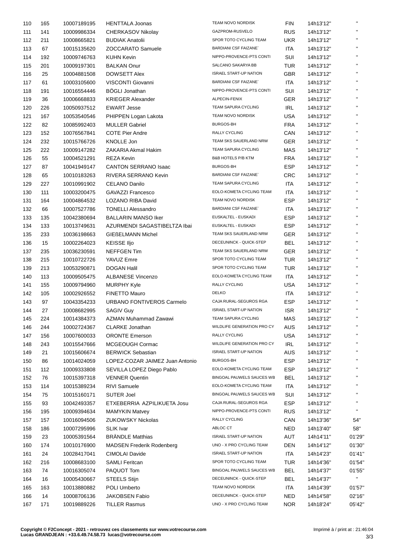| 110 | 165 | 10007189195 | <b>HENTTALA Joonas</b>           | TEAM NOVO NORDISK             | <b>FIN</b> | 14h13'12" | $\mathbf{H}$ |
|-----|-----|-------------|----------------------------------|-------------------------------|------------|-----------|--------------|
| 111 | 141 | 10009986334 | <b>CHERKASOV Nikolay</b>         | GAZPROM-RUSVELO               | <b>RUS</b> | 14h13'12" | $\mathbf{H}$ |
| 112 | 211 | 10008665821 | <b>BUDIAK Anatolii</b>           | SPOR TOTO CYCLING TEAM        | <b>UKR</b> | 14h13'12" | $\mathbf{H}$ |
| 113 | 67  | 10015135620 | <b>ZOCCARATO Samuele</b>         | <b>BARDIANI CSF FAIZANE</b>   | ITA        | 14h13'12" | $\mathbf{H}$ |
| 114 | 192 | 10009746763 | KUHN Kevin                       | NIPPO-PROVENCE-PTS CONTI      | SUI        | 14h13'12" | $\mathbf{H}$ |
| 115 | 201 | 10009197301 | <b>BALKAN Onur</b>               | SALCANO SAKARYA BB            | TUR        | 14h13'12" | $\mathbf{H}$ |
| 116 | 25  | 10004881508 | <b>DOWSETT Alex</b>              | <b>ISRAEL START-UP NATION</b> | <b>GBR</b> | 14h13'12" | $\mathbf{H}$ |
| 117 | 61  | 10003105600 | VISCONTI Giovanni                | <b>BARDIANI CSF FAIZANE</b>   | ITA        | 14h13'12" | $\mathbf{H}$ |
| 118 | 191 | 10016554446 | <b>BÖGLI Jonathan</b>            | NIPPO-PROVENCE-PTS CONTI      | SUI        | 14h13'12" | $\mathbf{H}$ |
| 119 | 36  | 10006668833 | <b>KRIEGER Alexander</b>         | ALPECIN-FENIX                 | <b>GER</b> | 14h13'12" | $\mathbf{H}$ |
| 120 | 226 | 10050937512 | <b>EWART Jesse</b>               | <b>TEAM SAPURA CYCLING</b>    | <b>IRL</b> | 14h13'12" | $\mathbf{H}$ |
| 121 | 167 | 10053540546 | PHIPPEN Logan Lakota             | TEAM NOVO NORDISK             | <b>USA</b> | 14h13'12" | $\mathbf{H}$ |
| 122 | 82  | 10085992403 | <b>MULLER Gabriel</b>            | BURGOS-BH                     | <b>FRA</b> | 14h13'12" | $\mathbf{H}$ |
| 123 | 152 | 10076567841 | <b>COTE Pier Andre</b>           | RALLY CYCLING                 | CAN        | 14h13'12" | $\mathbf{H}$ |
| 124 | 232 | 10015766726 | KNOLLE Jon                       | TEAM SKS SAUERLAND NRW        | <b>GER</b> | 14h13'12" | $\mathbf{H}$ |
| 125 | 222 | 10009147282 | <b>ZAKARIA Akmal Hakim</b>       | TEAM SAPURA CYCLING           | MAS        |           | $\mathbf{H}$ |
|     |     |             |                                  | <b>B&amp;B HOTELS P/B KTM</b> |            | 14h13'12" | $\mathbf{H}$ |
| 126 | 55  | 10004521291 | <b>REZA Kevin</b>                |                               | <b>FRA</b> | 14h13'12" | $\mathbf{H}$ |
| 127 | 87  | 10041949147 | <b>CANTON SERRANO Isaac</b>      | BURGOS-BH                     | <b>ESP</b> | 14h13'12" | $\mathbf{H}$ |
| 128 | 65  | 10010183263 | RIVERA SERRANO Kevin             | <b>BARDIANI CSF FAIZANE</b>   | <b>CRC</b> | 14h13'12" | $\mathbf{H}$ |
| 129 | 227 | 10010991902 | <b>CELANO Danilo</b>             | TEAM SAPURA CYCLING           | ITA        | 14h13'12" | $\mathbf{H}$ |
| 130 | 111 | 10003200475 | <b>GAVAZZI Francesco</b>         | EOLO-KOMETA CYCLING TEAM      | ITA        | 14h13'12" |              |
| 131 | 164 | 10004864532 | <b>LOZANO RIBA David</b>         | TEAM NOVO NORDISK             | <b>ESP</b> | 14h13'12" | $\mathbf{H}$ |
| 132 | 66  | 10007527786 | <b>TONELLI Alessandro</b>        | <b>BARDIANI CSF FAIZANE</b>   | ITA        | 14h13'12" | $\mathbf{H}$ |
| 133 | 135 | 10042380694 | <b>BALLARIN MANSO Iker</b>       | EUSKALTEL - EUSKADI           | ESP        | 14h13'12" | $\mathbf{H}$ |
| 134 | 133 | 10013749631 | AZURMENDI SAGASTIBELTZA Ibai     | EUSKALTEL - EUSKADI           | <b>ESP</b> | 14h13'12" | $\mathbf{H}$ |
| 135 | 233 | 10036198663 | <b>GIEßELMANN Michel</b>         | TEAM SKS SAUERLAND NRW        | <b>GER</b> | 14h13'12" | $\mathbf{H}$ |
| 136 | 15  | 10002264023 | <b>KEISSE IIjo</b>               | DECEUNINCK - QUICK-STEP       | <b>BEL</b> | 14h13'12" | $\mathbf{H}$ |
| 137 | 235 | 10036230591 | <b>NEFFGEN Tim</b>               | TEAM SKS SAUERLAND NRW        | <b>GER</b> | 14h13'12" | $\mathbf{H}$ |
| 138 | 215 | 10010722726 | YAVUZ Emre                       | SPOR TOTO CYCLING TEAM        | <b>TUR</b> | 14h13'12" | $\mathbf{H}$ |
| 139 | 213 | 10053290871 | <b>DOGAN Halil</b>               | SPOR TOTO CYCLING TEAM        | <b>TUR</b> | 14h13'12" | $\mathbf{H}$ |
| 140 | 113 | 10009505475 | <b>ALBANESE Vincenzo</b>         | EOLO-KOMETA CYCLING TEAM      | ITA        | 14h13'12" | $\mathbf{H}$ |
| 141 | 155 | 10009794960 | <b>MURPHY Kyle</b>               | <b>RALLY CYCLING</b>          | <b>USA</b> | 14h13'12" | $\mathbf{H}$ |
| 142 | 105 | 10002926552 | <b>FINETTO Mauro</b>             | <b>DELKO</b>                  | ITA        | 14h13'12" | $\mathbf{H}$ |
| 143 | 97  | 10043354233 | URBANO FONTIVEROS Carmelo        | CAJA RURAL-SEGUROS RGA        | <b>ESP</b> | 14h13'12" | $\mathbf{H}$ |
| 144 | 27  | 10008682995 | <b>SAGIV Guy</b>                 | <b>ISRAEL START-UP NATION</b> | <b>ISR</b> | 14h13'12" | $\mathbf{H}$ |
| 145 | 224 | 10014384373 | AZMAN Muhammad Zawawi            | TEAM SAPURA CYCLING           | MAS        | 14h13'12" |              |
| 146 | 244 | 10002724367 | <b>CLARKE Jonathan</b>           | WILDLIFE GENERATION PRO CY    | <b>AUS</b> | 14h13'12" |              |
| 147 | 156 | 10007600033 | <b>ORONTE Emerson</b>            | RALLY CYCLING                 | <b>USA</b> | 14h13'12" | $\mathbf{u}$ |
| 148 | 243 | 10015547666 | MCGEOUGH Cormac                  | WILDLIFE GENERATION PRO CY    | <b>IRL</b> | 14h13'12" |              |
| 149 | 21  | 10015606674 | <b>BERWICK Sebastian</b>         | <b>ISRAEL START-UP NATION</b> | <b>AUS</b> | 14h13'12" | $\mathbf{H}$ |
| 150 | 86  | 10014024059 | LOPEZ-COZAR JAIMEZ Juan Antonio  | <b>BURGOS-BH</b>              | <b>ESP</b> | 14h13'12" |              |
| 151 | 112 | 10009333808 | SEVILLA LOPEZ Diego Pablo        | EOLO-KOMETA CYCLING TEAM      | <b>ESP</b> | 14h13'12" | $\mathbf{H}$ |
| 152 | 76  | 10015397318 | <b>VENNER Quentin</b>            | BINGOAL PAUWELS SAUCES WB     | <b>BEL</b> | 14h13'12" |              |
| 153 |     |             | RIVI Samuele                     | EOLO-KOMETA CYCLING TEAM      | ITA        |           | $\mathbf{H}$ |
|     | 114 | 10015389234 |                                  | BINGOAL PAUWELS SAUCES WB     |            | 14h13'12" |              |
| 154 | 75  | 10015160171 | <b>SUTER Joel</b>                |                               | SUI        | 14h13'12" |              |
| 155 | 93  | 10042493357 | ETXEBERRIA AZPILIKUETA Josu      | CAJA RURAL-SEGUROS RGA        | <b>ESP</b> | 14h13'12" |              |
| 156 | 195 | 10009394634 | <b>MAMYKIN Matvey</b>            | NIPPO-PROVENCE-PTS CONTI      | <b>RUS</b> | 14h13'12" |              |
| 157 | 157 | 10016094506 | <b>ZUKOWSKY Nickolas</b>         | RALLY CYCLING                 | CAN        | 14h13'36" | 54"          |
| 158 | 186 | 10007295996 | <b>SLIK Ivar</b>                 | ABLOC CT                      | <b>NED</b> | 14h13'40" | 58"          |
| 159 | 23  | 10005391564 | <b>BRÄNDLE Matthias</b>          | <b>ISRAEL START-UP NATION</b> | AUT        | 14h14'11" | 01'29"       |
| 160 | 174 | 10010176900 | <b>MADSEN Frederik Rodenberg</b> | UNO - X PRO CYCLING TEAM      | <b>DEN</b> | 14h14'12" | 01'30"       |
| 161 | 24  | 10028417041 | CIMOLAI Davide                   | <b>ISRAEL START-UP NATION</b> | ITA        | 14h14'23" | 01'41"       |
| 162 | 216 | 10008683100 | <b>SAMLI Feritcan</b>            | SPOR TOTO CYCLING TEAM        | <b>TUR</b> | 14h14'36" | 01'54"       |
| 163 | 74  | 10016305074 | PAQUOT Tom                       | BINGOAL PAUWELS SAUCES WB     | <b>BEL</b> | 14h14'37" | 01'55"       |
| 164 | 16  | 10005430667 | <b>STEELS Stijn</b>              | DECEUNINCK - QUICK-STEP       | <b>BEL</b> | 14h14'37" | Ħ            |
| 165 | 163 | 10013880882 | POLI Umberto                     | TEAM NOVO NORDISK             | ITA        | 14h14'39" | 01'57"       |
| 166 | 14  | 10008706136 | JAKOBSEN Fabio                   | DECEUNINCK - QUICK-STEP       | <b>NED</b> | 14h14'58" | 02'16"       |
| 167 | 171 | 10019889226 | <b>TILLER Rasmus</b>             | UNO - X PRO CYCLING TEAM      | <b>NOR</b> | 14h18'24" | 05'42"       |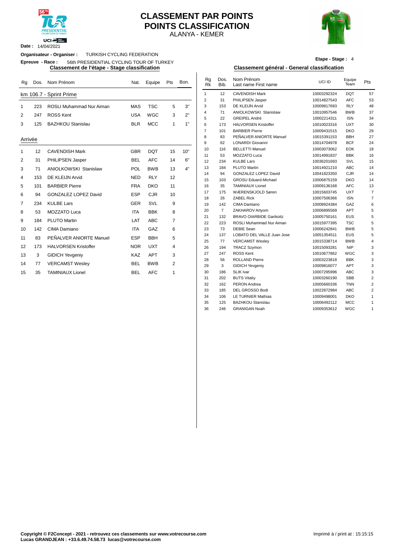

#### **Date :** 14/04/2021

#### ALANYA - KEMER **CLASSEMENT PAR POINTS POINTS CLASSIFICATION**



**Etape - Stage :** 4

### **Organisateur - Organiser :** TURKISH CYCLING FEDERATION

#### **Epreuve - Race :** 56th PRESIDENTIAL CYCLING TOUR OF TURKEY

| Rg      | Dos. | Nom Prénom                      | Nat.       | Equipe     | Pts            | Bon. | Rg<br>Rk       | Dos.<br>Bib.   | Nom Prénom<br>Last name First name | UCI ID      | Equipe<br>Team    | Pts            |
|---------|------|---------------------------------|------------|------------|----------------|------|----------------|----------------|------------------------------------|-------------|-------------------|----------------|
|         |      | km 106.7 - Sprint Prime         |            |            |                |      | $\mathbf{1}$   | 12             | <b>CAVENDISH Mark</b>              | 10003292324 | <b>DQT</b>        | 57             |
|         |      |                                 |            |            |                |      | $\overline{2}$ | 31             | PHILIPSEN Jasper                   | 10014827543 | <b>AFC</b>        | 53             |
| 1       | 223  | <b>ROSLI Muhammad Nur Aiman</b> | <b>MAS</b> | <b>TSC</b> | 5              | 3"   | 3              | 153            | DE KLEIJN Arvid                    | 10009817693 | <b>RLY</b>        | 48             |
| 2       | 247  | <b>ROSS Kent</b>                | <b>USA</b> | <b>WGC</b> | 3              | 2"   | $\overline{4}$ | 71             | <b>ANIOLKOWSKI Stanislaw</b>       | 10010957546 | <b>BWB</b>        | 37             |
|         |      |                                 |            |            |                |      | 5              | 22             | GREIPEL André                      | 10002214311 | <b>ISN</b>        | 34             |
| 3       | 125  | <b>BAZHKOU Stanislau</b>        | <b>BLR</b> | <b>MCC</b> | $\mathbf{1}$   | 1"   | 6              | 173            | <b>HALVORSEN Kristoffer</b>        | 10010023316 | <b>UXT</b>        | 3 <sub>0</sub> |
|         |      |                                 |            |            |                |      | $\overline{7}$ | 101            | <b>BARBIER Pierre</b>              | 10009431515 | <b>DKO</b>        | 29             |
| Arrivée |      |                                 |            |            |                |      | 8              | 83             | PEÑALVER ANIORTE Manuel            | 10015391153 | <b>BBH</b>        | 27             |
|         |      |                                 |            |            |                |      | 9              | 62             | <b>LONARDI</b> Giovanni            | 10014704978 | <b>BCF</b>        | $2\ell$        |
| 1       | 12   | <b>CAVENDISH Mark</b>           | <b>GBR</b> | <b>DQT</b> | 15             | 10"  | 10             | 116            | <b>BELLETTI Manuel</b>             | 10003073062 | <b>EOK</b>        | 18             |
|         |      |                                 |            |            |                |      | 11             | 53             | MOZZATO Luca                       | 10014991837 | <b>BBK</b>        | 16             |
| 2       | 31   | PHILIPSEN Jasper                | <b>BEL</b> | <b>AFC</b> | 14             | 6"   | 12             | 234            | <b>KULBE Lars</b>                  | 10036201693 | SVL               | 15             |
| 3       | 71   | <b>ANIOLKOWSKI Stanislaw</b>    | POL        | <b>BWB</b> | 13             | 4"   | 13             | 184            | PLUTO Martin                       | 10014921210 | <b>ABC</b>        | 14             |
| 4       | 153  | DE KLEIJN Arvid                 | <b>NED</b> | <b>RLY</b> | 12             |      | 14             | 94             | <b>GONZALEZ LOPEZ David</b>        | 10041823350 | <b>CJR</b>        | 14             |
|         |      |                                 |            |            |                |      | 15             | 103            | <b>GROSU Eduard-Michael</b>        | 10006875159 | <b>DKO</b>        | 14             |
| 5       | 101  | <b>BARBIER Pierre</b>           | <b>FRA</b> | <b>DKO</b> | 11             |      | 16             | 35             | <b>TAMINIAUX Lionel</b>            | 10009136168 | <b>AFC</b>        | 13             |
| 6       | 94   | <b>GONZALEZ LOPEZ David</b>     | <b>ESP</b> | <b>CJR</b> | 10             |      | 17             | 175            | WÆRENSKJOLD Søren                  | 10015603745 | <b>UXT</b>        |                |
|         |      |                                 |            |            |                |      | 18             | 26             | <b>ZABEL Rick</b>                  | 10007506366 | <b>ISN</b>        |                |
| 7       | 234  | <b>KULBE Lars</b>               | <b>GER</b> | SVL        | 9              |      | 19             | 142            | CIMA Damiano                       | 10008924384 | GAZ               |                |
| 8       | 53   | <b>MOZZATO Luca</b>             | <b>ITA</b> | <b>BBK</b> | 8              |      | 20             | $\overline{7}$ | ZAKHAROV Artyom                    | 10006895569 | <b>APT</b>        |                |
| 9       | 184  | <b>PLUTO Martin</b>             | LAT        | <b>ABC</b> | $\overline{7}$ |      | 21             | 132            | <b>BRAVO OIARBIDE Garikoitz</b>    | 10005750161 | EUS               |                |
|         |      |                                 |            |            |                |      | 22             | 223            | ROSLI Muhammad Nur Aiman           | 10015977395 | <b>TSC</b>        |                |
| 10      | 142  | CIMA Damiano                    | <b>ITA</b> | GAZ        | 6              |      | 23             | 73             | <b>DEBIE Sean</b>                  | 10006242841 | <b>BWB</b>        |                |
| 11      | 83   | PEÑALVER ANIORTE Manuel         | <b>ESP</b> | <b>BBH</b> | 5              |      | 24             | 137            | LOBATO DEL VALLE Juan Jose         | 10051354511 | <b>EUS</b>        |                |
| 12      | 173  | <b>HALVORSEN Kristoffer</b>     | <b>NOR</b> | <b>UXT</b> | 4              |      | 25             | 77             | <b>VERCAMST Wesley</b>             | 10015338714 | <b>BWB</b>        |                |
|         |      |                                 |            |            |                |      | 26             | 194            | <b>TRACZ Szymon</b>                | 10015093281 | <b>NIP</b>        |                |
| 13      | 3    | <b>GIDICH Yevgeniy</b>          | <b>KAZ</b> | <b>APT</b> | 3              |      | 27             | 247            | <b>ROSS Kent</b>                   | 10010677862 | WGC               |                |
| 14      | 77   | <b>VERCAMST Wesley</b>          | <b>BEL</b> | <b>BWB</b> | 2              |      | 28             | 56             | <b>ROLLAND Pierre</b>              | 10003223818 | <b>BBK</b>        |                |
|         |      |                                 |            |            |                |      | 29<br>30       | 3              | <b>GIDICH Yevgeniy</b>             | 10009816077 | APT<br><b>ABC</b> |                |
| 15      | 35   | <b>TAMINIAUX Lionel</b>         | <b>BEL</b> | <b>AFC</b> | 1              |      |                | 186            | <b>SLIK Ivar</b>                   | 10007295996 |                   |                |

#### **Classement de l'étape - Stage classification Classement général - General classification**

| Nat.       | Equipe     | Pts            | Bon. | Rg<br><b>Rk</b> | Dos.<br>Bib.   | Nom Prénom<br>Last name First name | UCI ID      | Equipe<br>Team | Pts            |
|------------|------------|----------------|------|-----------------|----------------|------------------------------------|-------------|----------------|----------------|
|            |            |                |      | 1               | 12             | <b>CAVENDISH Mark</b>              | 10003292324 | <b>DQT</b>     | 57             |
|            |            |                |      | $\overline{2}$  | 31             | PHILIPSEN Jasper                   | 10014827543 | <b>AFC</b>     | 53             |
| <b>MAS</b> | <b>TSC</b> | 5              | 3"   | 3               | 153            | DE KLEIJN Arvid                    | 10009817693 | <b>RLY</b>     | 48             |
| USA        | <b>WGC</b> | 3              | 2"   | 4               | 71             | <b>ANIOLKOWSKI Stanislaw</b>       | 10010957546 | <b>BWB</b>     | 37             |
|            |            |                |      | 5               | 22             | GREIPEL André                      | 10002214311 | <b>ISN</b>     | 34             |
| <b>BLR</b> | <b>MCC</b> | $\mathbf{1}$   | 1"   | 6               | 173            | <b>HALVORSEN Kristoffer</b>        | 10010023316 | <b>UXT</b>     | 30             |
|            |            |                |      | $\overline{7}$  | 101            | <b>BARBIER Pierre</b>              | 10009431515 | DKO            | 29             |
|            |            |                |      | 8               | 83             | PEÑALVER ANIORTE Manuel            | 10015391153 | <b>BBH</b>     | 27             |
|            |            |                |      | 9               | 62             | <b>LONARDI Giovanni</b>            | 10014704978 | <b>BCF</b>     | 24             |
| GBR        | <b>DQT</b> | 15             | 10"  | 10              | 116            | <b>BELLETTI Manuel</b>             | 10003073062 | <b>EOK</b>     | 18             |
|            |            |                |      | 11              | 53             | MOZZATO Luca                       | 10014991837 | <b>BBK</b>     | 16             |
| <b>BEL</b> | <b>AFC</b> | 14             | 6"   | 12              | 234            | <b>KULBE Lars</b>                  | 10036201693 | SVL            | 15             |
| POL        | <b>BWB</b> | 13             | 4"   | 13              | 184            | PLUTO Martin                       | 10014921210 | <b>ABC</b>     | 14             |
| NED        | <b>RLY</b> | 12             |      | 14              | 94             | GONZALEZ LOPEZ David               | 10041823350 | <b>CJR</b>     | 14             |
|            |            |                |      | 15              | 103            | <b>GROSU Eduard-Michael</b>        | 10006875159 | <b>DKO</b>     | 14             |
| FRA        | <b>DKO</b> | 11             |      | 16              | 35             | <b>TAMINIAUX Lionel</b>            | 10009136168 | <b>AFC</b>     | 13             |
| ESP        | <b>CJR</b> | 10             |      | 17              | 175            | WÆRENSKJOLD Søren                  | 10015603745 | <b>UXT</b>     | $\overline{7}$ |
|            |            |                |      | 18              | 26             | <b>ZABEL Rick</b>                  | 10007506366 | <b>ISN</b>     | $\overline{7}$ |
| GER        | SVL        | 9              |      | 19              | 142            | CIMA Damiano                       | 10008924384 | GAZ            | 6              |
| <b>ITA</b> | <b>BBK</b> | 8              |      | 20              | $\overline{7}$ | ZAKHAROV Artyom                    | 10006895569 | APT            | 5              |
| LAT        | <b>ABC</b> | $\overline{7}$ |      | 21              | 132            | <b>BRAVO OIARBIDE Garikoitz</b>    | 10005750161 | <b>EUS</b>     | 5              |
|            |            |                |      | 22              | 223            | ROSLI Muhammad Nur Aiman           | 10015977395 | <b>TSC</b>     | 5              |
| <b>ITA</b> | GAZ        | 6              |      | 23              | 73             | <b>DEBIE Sean</b>                  | 10006242841 | <b>BWB</b>     | 5              |
| ESP        | <b>BBH</b> | 5              |      | 24              | 137            | LOBATO DEL VALLE Juan Jose         | 10051354511 | <b>EUS</b>     | 5              |
|            |            |                |      | 25              | 77             | <b>VERCAMST Wesley</b>             | 10015338714 | <b>BWB</b>     | 4              |
| <b>NOR</b> | <b>UXT</b> | 4              |      | 26              | 194            | <b>TRACZ Szymon</b>                | 10015093281 | <b>NIP</b>     | 3              |
| KAZ        | <b>APT</b> | 3              |      | 27              | 247            | ROSS Kent                          | 10010677862 | WGC            | 3              |
| BEL        | <b>BWB</b> | $\overline{2}$ |      | 28              | 56             | <b>ROLLAND Pierre</b>              | 10003223818 | <b>BBK</b>     | 3              |
|            |            |                |      | 29              | 3              | <b>GIDICH Yevgeniy</b>             | 10009816077 | <b>APT</b>     | 3              |
| BEL        | <b>AFC</b> | 1              |      | 30              | 186            | <b>SLIK Ivar</b>                   | 10007295996 | <b>ABC</b>     | 3              |
|            |            |                |      | 31              | 202            | <b>BUTS Vitaliy</b>                | 10003260190 | <b>SBB</b>     | $\overline{2}$ |
|            |            |                |      | 32              | 162            | PERON Andrea                       | 10005660336 | <b>TNN</b>     | $\overline{2}$ |
|            |            |                |      | 33              | 185            | DEL GROSSO Bodi                    | 10022872984 | ABC            | $\overline{2}$ |
|            |            |                |      | 34              | 106            | <b>LE TURNIER Mathias</b>          | 10009498001 | <b>DKO</b>     | $\mathbf{1}$   |
|            |            |                |      | 35              | 125            | <b>BAZHKOU Stanislau</b>           | 10006492112 | <b>MCC</b>     | $\mathbf{1}$   |
|            |            |                |      | 36              | 246            | <b>GRANIGAN Noah</b>               | 10009353612 | WGC            | $\mathbf{1}$   |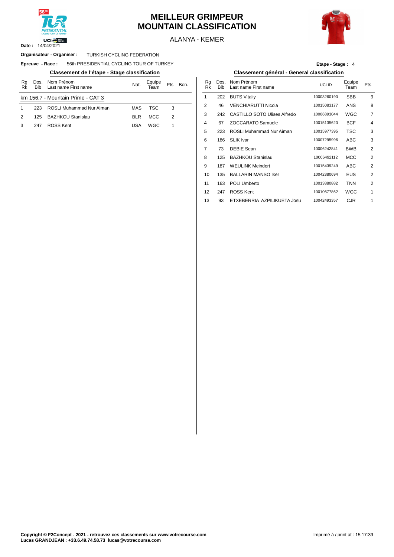

#### **MEILLEUR GRIMPEUR MOUNTAIN CLASSIFICATION**



ALANYA - KEMER

#### **Organisateur - Organiser : TURKISH CYCLING FEDERATION**

 $E$ preuve  $-$  **Race** : 56th PRESIDENTIAL CYCLING TOUR OF TURKEY

#### **Classement de l'étape - Stage classification Classement général - General classification**

| Rg<br>Rk      | Dos.<br><b>Bib</b> | Nom Prénom<br>Last name First name | Nat.       | Equipe<br>Геаm | Pts | Bon. | Rg<br>Rk       | Dos<br><b>Bib</b> |
|---------------|--------------------|------------------------------------|------------|----------------|-----|------|----------------|-------------------|
|               |                    | km 156.7 - Mountain Prime - CAT 3  |            |                |     |      |                | 202               |
|               | 223                | ROSLI Muhammad Nur Aiman           | MAS        | TSC            | 3   |      | $\overline{2}$ | 46                |
| $\mathcal{P}$ | 125                | <b>BAZHKOU Stanislau</b>           | <b>BLR</b> | <b>MCC</b>     | 2   |      | 3              | 242               |
|               | 247                | ROSS Kent                          | USA        | WGC            |     |      | 4              | 67                |
|               |                    |                                    |            |                |     |      |                |                   |

| Etape - Stage: 4 |  |  |
|------------------|--|--|
|------------------|--|--|

| Nat.       | Equipe<br>Team | Pts | Bon. | Rq<br>Rk | Dos.<br><b>Bib</b> | Nom Prénom<br>Last name First name  | UCI ID      | Equipe<br>Team | Pts            |
|------------|----------------|-----|------|----------|--------------------|-------------------------------------|-------------|----------------|----------------|
|            |                |     |      | 1        | 202                | <b>BUTS Vitaliy</b>                 | 10003260190 | <b>SBB</b>     | 9              |
| <b>MAS</b> | <b>TSC</b>     | 3   |      | 2        | 46                 | <b>VENCHIARUTTI Nicola</b>          | 10015083177 | ANS            | 8              |
| <b>BLR</b> | <b>MCC</b>     | 2   |      | 3        | 242                | <b>CASTILLO SOTO Ulises Alfredo</b> | 10006893044 | <b>WGC</b>     | $\overline{7}$ |
| USA        | WGC            | 1   |      | 4        | 67                 | <b>ZOCCARATO Samuele</b>            | 10015135620 | <b>BCF</b>     | $\overline{4}$ |
|            |                |     |      | 5        | 223                | <b>ROSLI Muhammad Nur Aiman</b>     | 10015977395 | TSC            | 3              |
|            |                |     |      | 6        | 186                | <b>SLIK Ivar</b>                    | 10007295996 | ABC            | 3              |
|            |                |     |      | 7        | 73                 | <b>DEBIE Sean</b>                   | 10006242841 | <b>BWB</b>     | 2              |
|            |                |     |      | 8        | 125                | <b>BAZHKOU Stanislau</b>            | 10006492112 | <b>MCC</b>     | $\overline{2}$ |
|            |                |     |      | 9        | 187                | <b>WEULINK Meindert</b>             | 10015439249 | ABC            | $\overline{2}$ |
|            |                |     |      | 10       | 135                | <b>BALLARIN MANSO Iker</b>          | 10042380694 | <b>EUS</b>     | $\overline{2}$ |
|            |                |     |      | 11       | 163                | <b>POLI Umberto</b>                 | 10013880882 | <b>TNN</b>     | $\overline{2}$ |
|            |                |     |      | 12       | 247                | <b>ROSS Kent</b>                    | 10010677862 | WGC            | 1              |
|            |                |     |      | 13       | 93                 | ETXEBERRIA AZPILIKUETA Josu         | 10042493357 | <b>CJR</b>     | 1              |
|            |                |     |      |          |                    |                                     |             |                |                |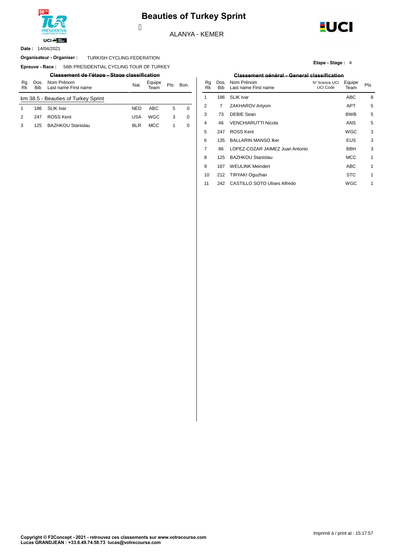

### **Beauties of Turkey Sprint**

ALANYA - KEMER



14/04/2021 **Date :**

#### Organisateur - Organiser : TURKISH CYCLING FEDERATION

**Epreuve - Race : 56th PRESIDENTIAL CYCLING TOUR OF TURKEY** 

| Ra<br>Rk                            | Dos.<br><b>Bib</b> | Nom Prénom<br>Last name First name | Nat.       | Equipe<br>Геаm | <b>Pts</b> | Bon. | Ra<br>Rk  | <b>Bib</b> | Dos. Nom Prénom<br>Last name Fir |
|-------------------------------------|--------------------|------------------------------------|------------|----------------|------------|------|-----------|------------|----------------------------------|
| km 38.5 - Beauties of Turkey Sprint |                    |                                    |            |                |            | 186  | SLIK Ivar |            |                                  |
|                                     | 186                | SLIK Ivar                          | <b>NED</b> | ABC            | 5          |      |           |            | ZAKHAROV A                       |
| $\mathcal{P}$                       | 247                | <b>ROSS Kent</b>                   | <b>USA</b> | WGC            | 3          | 0    |           | 73         | DEBIE Sean                       |
|                                     | 125                | <b>BAZHKOU Stanislau</b>           | <b>BLR</b> | <b>MCC</b>     |            |      |           | 46         | <b>VENCHIARUT</b>                |
|                                     |                    |                                    |            |                |            |      |           |            |                                  |

Ī

**Etape - Stage :** 4

#### **Classement de l'étape - Stage classification Classement général - General classification**

| Nat.       | Equipe<br>Team | Pts | Bon.     | Rq<br>Rk | Dos.<br><b>Bib</b> | Nom Prénom<br>Last name First name  | N° licence UCI<br><b>UCI Code</b> | Equipe<br>Team | <b>Pts</b>   |
|------------|----------------|-----|----------|----------|--------------------|-------------------------------------|-----------------------------------|----------------|--------------|
|            |                |     |          | 1        | 186                | <b>SLIK Ivar</b>                    |                                   | <b>ABC</b>     | 8            |
| NED        | <b>ABC</b>     | 5   | $\Omega$ | 2        | 7                  | ZAKHAROV Artyom                     |                                   | <b>APT</b>     | 5            |
| <b>USA</b> | <b>WGC</b>     | 3   | 0        | 3        | 73                 | <b>DEBIE Sean</b>                   |                                   | <b>BWB</b>     | 5            |
| <b>BLR</b> | <b>MCC</b>     | 1   | 0        | 4        | 46                 | <b>VENCHIARUTTI Nicola</b>          |                                   | <b>ANS</b>     | 5            |
|            |                |     |          | 5        | 247                | <b>ROSS Kent</b>                    |                                   | <b>WGC</b>     | 3            |
|            |                |     |          | 6        | 135                | <b>BALLARIN MANSO Iker</b>          |                                   | <b>EUS</b>     | 3            |
|            |                |     |          | 7        | 86                 | LOPEZ-COZAR JAIMEZ Juan Antonio     |                                   | <b>BBH</b>     | 3            |
|            |                |     |          | 8        | 125                | <b>BAZHKOU Stanislau</b>            |                                   | <b>MCC</b>     | 1            |
|            |                |     |          | 9        | 187                | <b>WEULINK Meindert</b>             |                                   | <b>ABC</b>     | 1            |
|            |                |     |          | 10       | 212                | TIRYAKI Oguzhan                     |                                   | <b>STC</b>     | 1            |
|            |                |     |          | 11       | 242                | <b>CASTILLO SOTO Ulises Alfredo</b> |                                   | <b>WGC</b>     | $\mathbf{1}$ |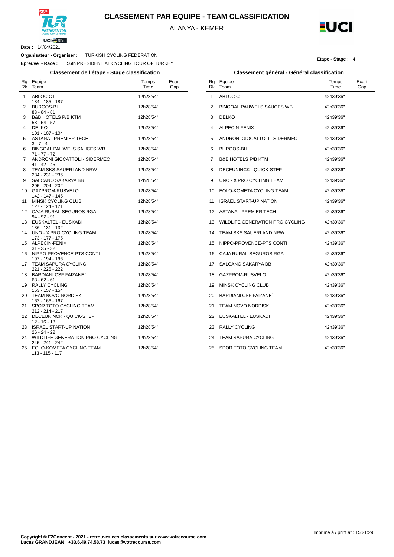

**CLASSEMENT PAR EQUIPE - TEAM CLASSIFICATION**

ALANYA - KEMER



**Date :** 14/04/2021

 $\overline{a}$ 

**Organisateur - Organiser :** TURKISH CYCLING FEDERATION

**Epreuve - Race :** 56th PRESIDENTIAL CYCLING TOUR OF TURKEY

| Rg<br>Rk | Equipe<br>Team                                     | Temps<br>Time | Ecart<br>Gap |
|----------|----------------------------------------------------|---------------|--------------|
| 1        | ABLOC CT<br>184 - 185 - 187                        | 12h28'54"     |              |
| 2        | <b>BURGOS-BH</b><br>83 - 84 - 81                   | 12h28'54"     |              |
| 3        | <b>B&amp;B HOTELS P/B KTM</b><br>53 - 54 - 57      | 12h28'54"     |              |
| 4        | <b>DELKO</b><br>101 - 107 - 104                    | 12h28'54"     |              |
| 5        | <b>ASTANA - PREMIER TECH</b><br>$3 - 7 - 4$        | 12h28'54"     |              |
| 6        | BINGOAL PAUWELS SAUCES WB<br>$71 - 77 - 72$        | 12h28'54"     |              |
| 7        | ANDRONI GIOCATTOLI - SIDERMEC<br>$41 - 42 - 45$    | 12h28'54"     |              |
| 8        | TEAM SKS SAUERLAND NRW<br>234 - 231 - 236          | 12h28'54"     |              |
| 9        | SALCANO SAKARYA BB<br>205 - 204 - 202              | 12h28'54"     |              |
| 10       | GAZPROM-RUSVELO<br>142 - 147 - 145                 | 12h28'54"     |              |
| 11       | MINSK CYCLING CLUB<br>127 - 124 - 121              | 12h28'54"     |              |
| 12       | CAJA RURAL-SEGUROS RGA<br>94 - 92 - 91             | 12h28'54"     |              |
| 13       | EUSKALTEL - EUSKADI<br>136 - 131 - 132             | 12h28'54"     |              |
| 14       | UNO - X PRO CYCLING TEAM<br>173 - 177 - 175        | 12h28'54"     |              |
| 15       | ALPECIN-FENIX<br>$31 - 35 - 32$                    | 12h28'54"     |              |
| 16       | NIPPO-PROVENCE-PTS CONTI<br>197 - 194 - 196        | 12h28'54"     |              |
| 17       | <b>TEAM SAPURA CYCLING</b><br>221 - 225 - 222      | 12h28'54"     |              |
| 18       | <b>BARDIANI CSF FAIZANE</b><br>$63 - 62 - 61$      | 12h28'54"     |              |
| 19       | RALLY CYCLING<br>153 - 157 - 154                   | 12h28'54"     |              |
| 20       | <b>TEAM NOVO NORDISK</b><br>162 - 166 - 167        | 12h28'54"     |              |
| 21       | SPOR TOTO CYCLING TEAM<br>212 - 214 - 217          | 12h28'54"     |              |
| 22       | DECEUNINCK - QUICK-STEP<br>$12 - 16 - 13$          | 12h28'54"     |              |
| 23       | <b>ISRAEL START-UP NATION</b><br>$26 - 24 - 22$    | 12h28'54"     |              |
| 24       | WILDLIFE GENERATION PRO CYCLING<br>245 - 241 - 242 | 12h28'54"     |              |
| 25       | EOLO-KOMETA CYCLING TEAM<br>113 - 115 - 117        | 12h28'54"     |              |

#### **Etape - Stage :** 4

#### **Classement de l'étape - Stage classification Classement général - Général classification**

| Rg<br>Rk | Equipe<br>Team                   | Temps<br>Time | Ecart<br>Gap |
|----------|----------------------------------|---------------|--------------|
| 1        | ABLOC CT                         | 42h39'36"     |              |
| 2        | <b>BINGOAL PAUWELS SAUCES WB</b> | 42h39'36"     |              |
| 3        | <b>DELKO</b>                     | 42h39'36"     |              |
| 4        | ALPECIN-FENIX                    | 42h39'36"     |              |
| 5        | ANDRONI GIOCATTOLI - SIDERMEC    | 42h39'36"     |              |
| 6        | <b>BURGOS-BH</b>                 | 42h39'36"     |              |
| 7        | <b>B&amp;B HOTELS P/B KTM</b>    | 42h39'36"     |              |
| 8        | DECEUNINCK - QUICK-STEP          | 42h39'36"     |              |
| 9        | UNO - X PRO CYCLING TEAM         | 42h39'36"     |              |
| 10       | EOLO-KOMETA CYCLING TEAM         | 42h39'36"     |              |
| 11       | <b>ISRAEL START-UP NATION</b>    | 42h39'36"     |              |
| 12       | <b>ASTANA - PREMIER TECH</b>     | 42h39'36"     |              |
| 13       | WILDLIFE GENERATION PRO CYCLING  | 42h39'36"     |              |
| 14       | TEAM SKS SAUERLAND NRW           | 42h39'36"     |              |
| 15       | NIPPO-PROVENCE-PTS CONTI         | 42h39'36"     |              |
| 16       | CAJA RURAL-SEGUROS RGA           | 42h39'36"     |              |
| 17       | SALCANO SAKARYA BB               | 42h39'36"     |              |
| 18       | GAZPROM-RUSVELO                  | 42h39'36"     |              |
| 19       | <b>MINSK CYCLING CLUB</b>        | 42h39'36"     |              |
| 20       | <b>BARDIANI CSF FAIZANE</b>      | 42h39'36"     |              |
| 21       | <b>TEAM NOVO NORDISK</b>         | 42h39'36"     |              |
| 22       | EUSKALTEL - EUSKADI              | 42h39'36"     |              |
| 23       | <b>RALLY CYCLING</b>             | 42h39'36"     |              |
| 24       | <b>TEAM SAPURA CYCLING</b>       | 42h39'36"     |              |
| 25       | SPOR TOTO CYCLING TEAM           | 42h39'36"     |              |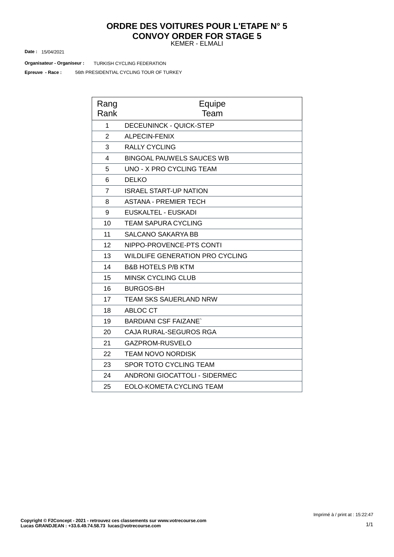#### KEMER - ELMALI **ORDRE DES VOITURES POUR L'ETAPE N° 5 CONVOY ORDER FOR STAGE 5**

15/04/2021 **Date :**

**Organisateur - Organiseur : TURKISH CYCLING FEDERATION** 

56th PRESIDENTIAL CYCLING TOUR OF TURKEY **Epreuve - Race :**

| Rang<br>Rank   | Equipe<br>Team                         |
|----------------|----------------------------------------|
| 1              | <b>DECEUNINCK - QUICK-STEP</b>         |
| $\overline{2}$ | <b>ALPECIN-FENIX</b>                   |
| 3              | <b>RALLY CYCLING</b>                   |
| 4              | <b>BINGOAL PAUWELS SAUCES WB</b>       |
| 5              | UNO - X PRO CYCLING TEAM               |
| 6              | <b>DELKO</b>                           |
| $\overline{7}$ | <b>ISRAEL START-UP NATION</b>          |
| 8              | <b>ASTANA - PREMIER TECH</b>           |
| 9              | EUSKALTEL - EUSKADI                    |
| 10             | TEAM SAPURA CYCLING                    |
| 11             | <b>SALCANO SAKARYA BB</b>              |
| 12             | NIPPO-PROVENCE-PTS CONTI               |
| 13             | <b>WILDLIFE GENERATION PRO CYCLING</b> |
| 14             | <b>B&amp;B HOTELS P/B KTM</b>          |
| 15             | <b>MINSK CYCLING CLUB</b>              |
| 16             | <b>BURGOS-BH</b>                       |
| 17             | TEAM SKS SAUERLAND NRW                 |
| 18             | ABLOC CT                               |
| 19             | <b>BARDIANI CSF FAIZANE`</b>           |
| 20             | CAJA RURAL-SEGUROS RGA                 |
| 21             | GAZPROM-RUSVELO                        |
| 22             | <b>TEAM NOVO NORDISK</b>               |
| 23             | <b>SPOR TOTO CYCLING TEAM</b>          |
| 24             | <b>ANDRONI GIOCATTOLI - SIDERMEC</b>   |
| 25             | <b>EOLO-KOMETA CYCLING TEAM</b>        |